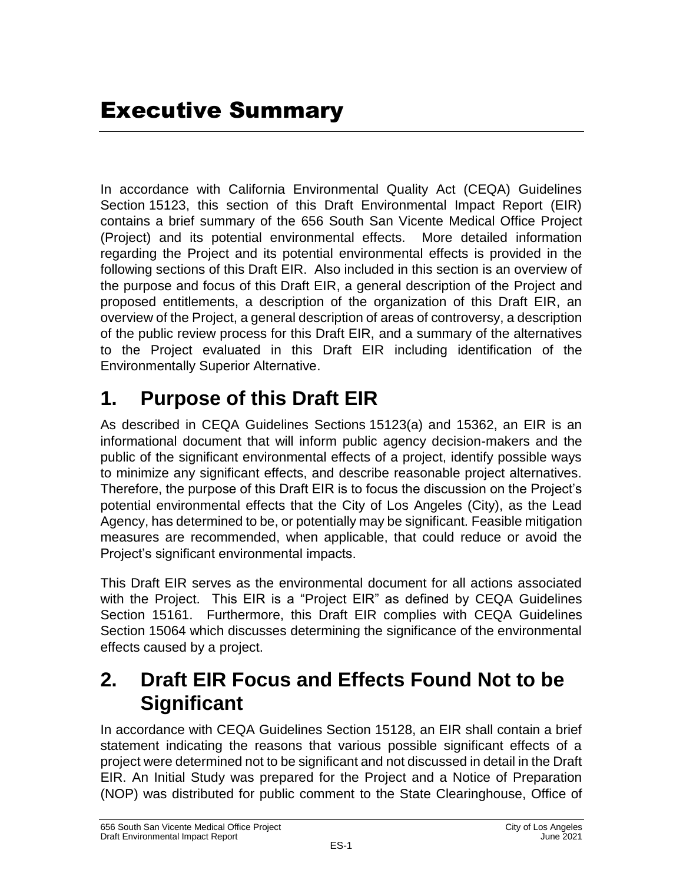In accordance with California Environmental Quality Act (CEQA) Guidelines Section 15123, this section of this Draft Environmental Impact Report (EIR) contains a brief summary of the 656 South San Vicente Medical Office Project (Project) and its potential environmental effects. More detailed information regarding the Project and its potential environmental effects is provided in the following sections of this Draft EIR. Also included in this section is an overview of the purpose and focus of this Draft EIR, a general description of the Project and proposed entitlements, a description of the organization of this Draft EIR, an overview of the Project, a general description of areas of controversy, a description of the public review process for this Draft EIR, and a summary of the alternatives to the Project evaluated in this Draft EIR including identification of the Environmentally Superior Alternative.

## **1. Purpose of this Draft EIR**

As described in CEQA Guidelines Sections 15123(a) and 15362, an EIR is an informational document that will inform public agency decision-makers and the public of the significant environmental effects of a project, identify possible ways to minimize any significant effects, and describe reasonable project alternatives. Therefore, the purpose of this Draft EIR is to focus the discussion on the Project's potential environmental effects that the City of Los Angeles (City), as the Lead Agency, has determined to be, or potentially may be significant. Feasible mitigation measures are recommended, when applicable, that could reduce or avoid the Project's significant environmental impacts.

This Draft EIR serves as the environmental document for all actions associated with the Project. This EIR is a "Project EIR" as defined by CEQA Guidelines Section 15161. Furthermore, this Draft EIR complies with CEQA Guidelines Section 15064 which discusses determining the significance of the environmental effects caused by a project.

### **2. Draft EIR Focus and Effects Found Not to be Significant**

In accordance with CEQA Guidelines Section 15128, an EIR shall contain a brief statement indicating the reasons that various possible significant effects of a project were determined not to be significant and not discussed in detail in the Draft EIR. An Initial Study was prepared for the Project and a Notice of Preparation (NOP) was distributed for public comment to the State Clearinghouse, Office of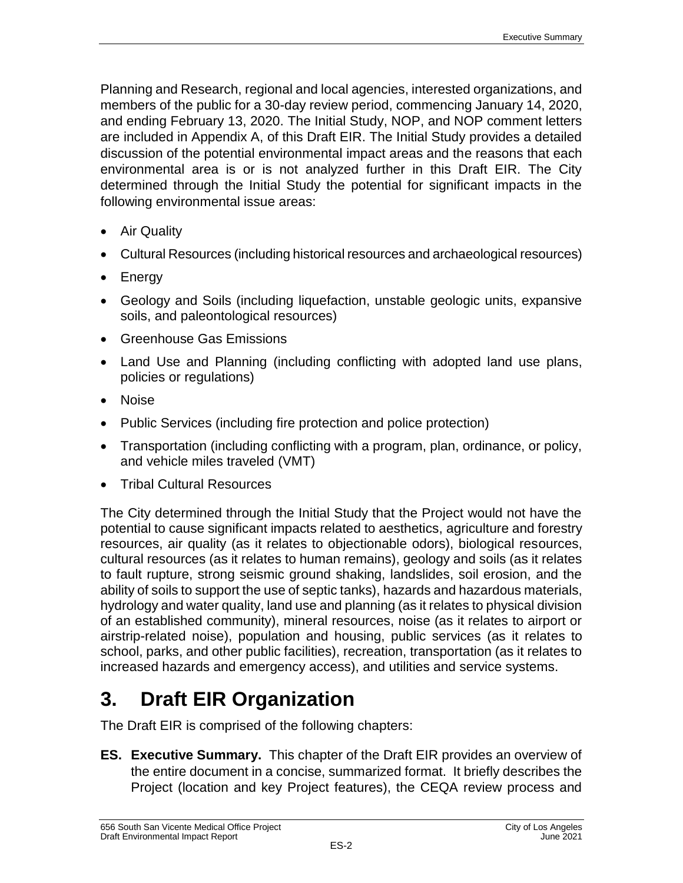Planning and Research, regional and local agencies, interested organizations, and members of the public for a 30-day review period, commencing January 14, 2020, and ending February 13, 2020. The Initial Study, NOP, and NOP comment letters are included in Appendix A, of this Draft EIR. The Initial Study provides a detailed discussion of the potential environmental impact areas and the reasons that each environmental area is or is not analyzed further in this Draft EIR. The City determined through the Initial Study the potential for significant impacts in the following environmental issue areas:

- Air Quality
- Cultural Resources (including historical resources and archaeological resources)
- Energy
- Geology and Soils (including liquefaction, unstable geologic units, expansive soils, and paleontological resources)
- Greenhouse Gas Emissions
- Land Use and Planning (including conflicting with adopted land use plans, policies or regulations)
- Noise
- Public Services (including fire protection and police protection)
- Transportation (including conflicting with a program, plan, ordinance, or policy, and vehicle miles traveled (VMT)
- Tribal Cultural Resources

The City determined through the Initial Study that the Project would not have the potential to cause significant impacts related to aesthetics, agriculture and forestry resources, air quality (as it relates to objectionable odors), biological resources, cultural resources (as it relates to human remains), geology and soils (as it relates to fault rupture, strong seismic ground shaking, landslides, soil erosion, and the ability of soils to support the use of septic tanks), hazards and hazardous materials, hydrology and water quality, land use and planning (as it relates to physical division of an established community), mineral resources, noise (as it relates to airport or airstrip-related noise), population and housing, public services (as it relates to school, parks, and other public facilities), recreation, transportation (as it relates to increased hazards and emergency access), and utilities and service systems.

## **3. Draft EIR Organization**

The Draft EIR is comprised of the following chapters:

**ES. Executive Summary.** This chapter of the Draft EIR provides an overview of the entire document in a concise, summarized format. It briefly describes the Project (location and key Project features), the CEQA review process and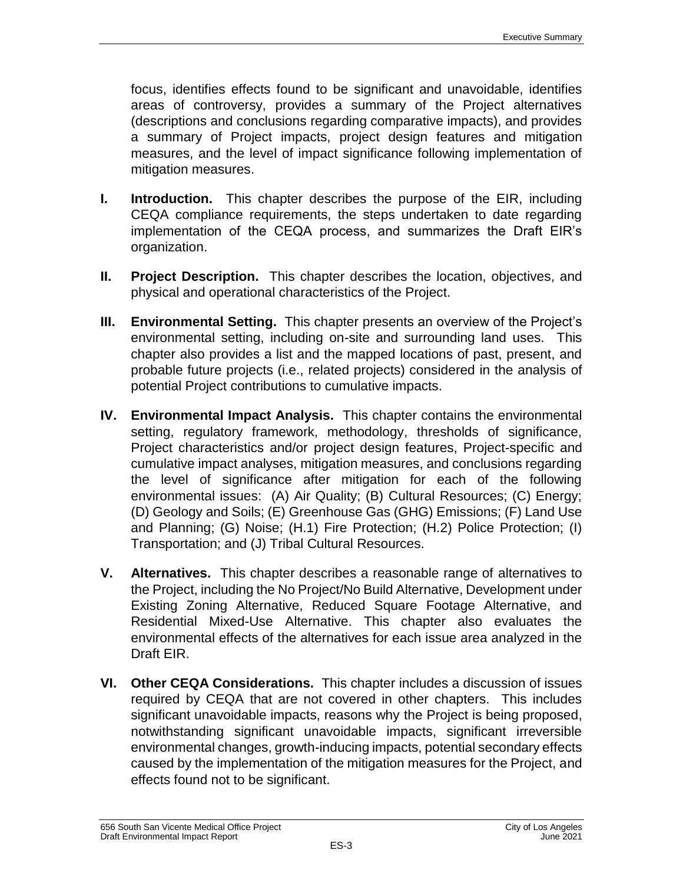focus, identifies effects found to be significant and unavoidable, identifies areas of controversy, provides a summary of the Project alternatives (descriptions and conclusions regarding comparative impacts), and provides a summary of Project impacts, project design features and mitigation measures, and the level of impact significance following implementation of mitigation measures.

- **I. Introduction.** This chapter describes the purpose of the EIR, including CEQA compliance requirements, the steps undertaken to date regarding implementation of the CEQA process, and summarizes the Draft EIR's organization.
- **II. Project Description.** This chapter describes the location, objectives, and physical and operational characteristics of the Project.
- **III. Environmental Setting.** This chapter presents an overview of the Project's environmental setting, including on-site and surrounding land uses. This chapter also provides a list and the mapped locations of past, present, and probable future projects (i.e., related projects) considered in the analysis of potential Project contributions to cumulative impacts.
- **IV. Environmental Impact Analysis.** This chapter contains the environmental setting, regulatory framework, methodology, thresholds of significance, Project characteristics and/or project design features, Project-specific and cumulative impact analyses, mitigation measures, and conclusions regarding the level of significance after mitigation for each of the following environmental issues: (A) Air Quality; (B) Cultural Resources; (C) Energy; (D) Geology and Soils; (E) Greenhouse Gas (GHG) Emissions; (F) Land Use and Planning; (G) Noise; (H.1) Fire Protection; (H.2) Police Protection; (I) Transportation; and (J) Tribal Cultural Resources.
- **V. Alternatives.** This chapter describes a reasonable range of alternatives to the Project, including the No Project/No Build Alternative, Development under Existing Zoning Alternative, Reduced Square Footage Alternative, and Residential Mixed-Use Alternative. This chapter also evaluates the environmental effects of the alternatives for each issue area analyzed in the Draft EIR.
- **VI. Other CEQA Considerations.** This chapter includes a discussion of issues required by CEQA that are not covered in other chapters. This includes significant unavoidable impacts, reasons why the Project is being proposed, notwithstanding significant unavoidable impacts, significant irreversible environmental changes, growth-inducing impacts, potential secondary effects caused by the implementation of the mitigation measures for the Project, and effects found not to be significant.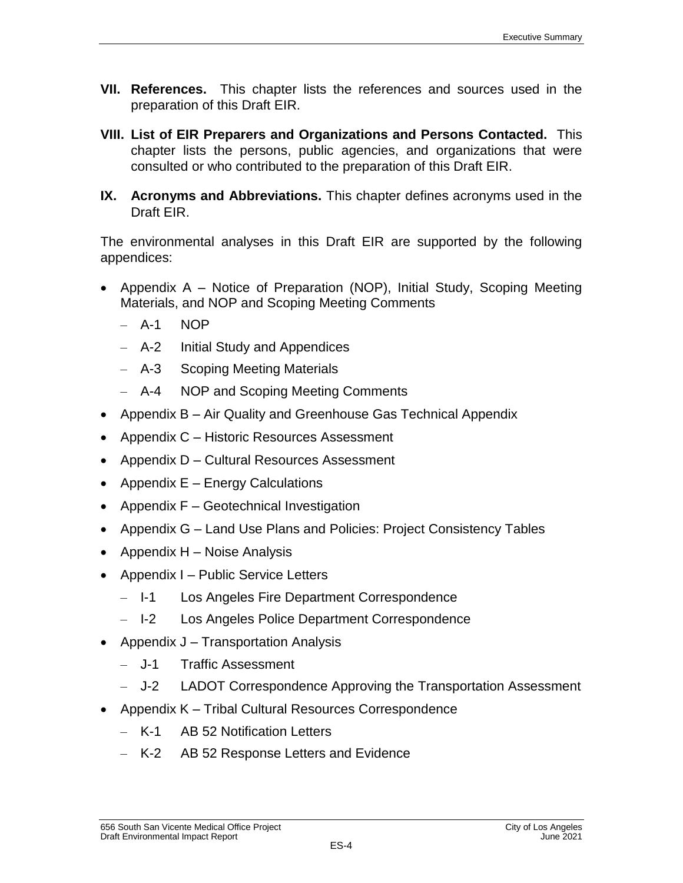- **VII. References.** This chapter lists the references and sources used in the preparation of this Draft EIR.
- **VIII. List of EIR Preparers and Organizations and Persons Contacted.** This chapter lists the persons, public agencies, and organizations that were consulted or who contributed to the preparation of this Draft EIR.
- **IX. Acronyms and Abbreviations.** This chapter defines acronyms used in the Draft EIR.

The environmental analyses in this Draft EIR are supported by the following appendices:

- Appendix  $A -$  Notice of Preparation (NOP), Initial Study, Scoping Meeting Materials, and NOP and Scoping Meeting Comments
	- $-$  A-1 NOP
	- A-2 Initial Study and Appendices
	- A-3 Scoping Meeting Materials
	- A-4 NOP and Scoping Meeting Comments
- Appendix B Air Quality and Greenhouse Gas Technical Appendix
- Appendix C Historic Resources Assessment
- Appendix D Cultural Resources Assessment
- Appendix  $E -$  Energy Calculations
- Appendix  $F -$  Geotechnical Investigation
- Appendix G Land Use Plans and Policies: Project Consistency Tables
- Appendix  $H -$  Noise Analysis
- Appendix I Public Service Letters
	- Los Angeles Fire Department Correspondence – I-1
	- Los Angeles Police Department Correspondence – I-2
- Appendix  $J T$ ransportation Analysis
	- Traffic Assessment – J-1
	- LADOT Correspondence Approving the Transportation Assessment  $-$  J-2
- Appendix K Tribal Cultural Resources Correspondence
	- K-1 AB 52 Notification Letters
	- K-2 AB 52 Response Letters and Evidence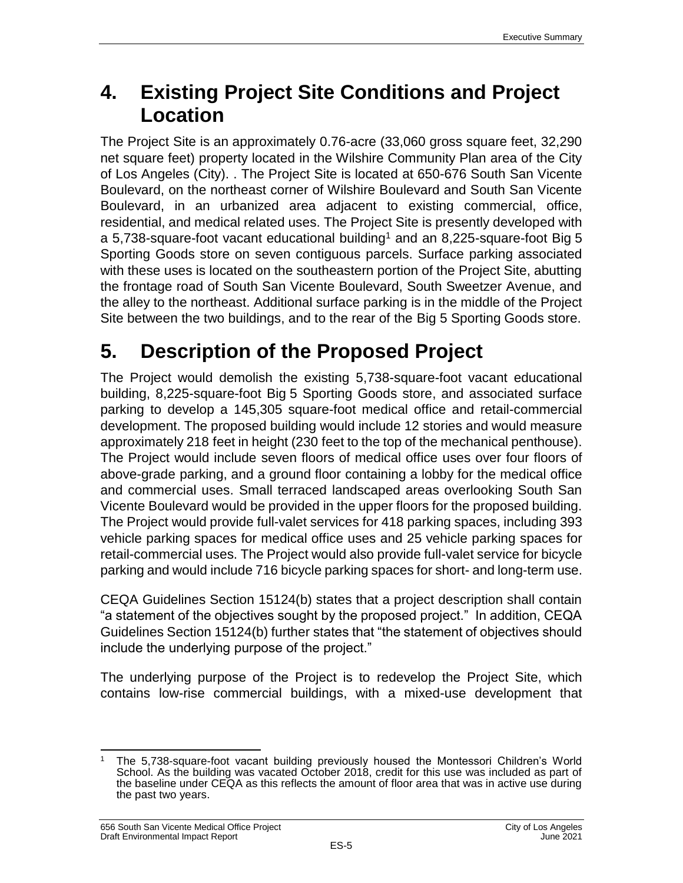### **4. Existing Project Site Conditions and Project Location**

The Project Site is an approximately 0.76-acre (33,060 gross square feet, 32,290 net square feet) property located in the Wilshire Community Plan area of the City of Los Angeles (City). . The Project Site is located at 650-676 South San Vicente Boulevard, on the northeast corner of Wilshire Boulevard and South San Vicente Boulevard, in an urbanized area adjacent to existing commercial, office, residential, and medical related uses. The Project Site is presently developed with a 5,738-square-foot vacant educational building<sup>1</sup> and an 8,225-square-foot Big 5 Sporting Goods store on seven contiguous parcels. Surface parking associated with these uses is located on the southeastern portion of the Project Site, abutting the frontage road of South San Vicente Boulevard, South Sweetzer Avenue, and the alley to the northeast. Additional surface parking is in the middle of the Project Site between the two buildings, and to the rear of the Big 5 Sporting Goods store.

# **5. Description of the Proposed Project**

The Project would demolish the existing 5,738-square-foot vacant educational building, 8,225-square-foot Big 5 Sporting Goods store, and associated surface parking to develop a 145,305 square-foot medical office and retail-commercial development. The proposed building would include 12 stories and would measure approximately 218 feet in height (230 feet to the top of the mechanical penthouse). The Project would include seven floors of medical office uses over four floors of above-grade parking, and a ground floor containing a lobby for the medical office and commercial uses. Small terraced landscaped areas overlooking South San Vicente Boulevard would be provided in the upper floors for the proposed building. The Project would provide full-valet services for 418 parking spaces, including 393 vehicle parking spaces for medical office uses and 25 vehicle parking spaces for retail-commercial uses. The Project would also provide full-valet service for bicycle parking and would include 716 bicycle parking spaces for short- and long-term use.

CEQA Guidelines Section 15124(b) states that a project description shall contain "a statement of the objectives sought by the proposed project." In addition, CEQA Guidelines Section 15124(b) further states that "the statement of objectives should include the underlying purpose of the project."

The underlying purpose of the Project is to redevelop the Project Site, which contains low-rise commercial buildings, with a mixed-use development that

 $\overline{a}$ <sup>1</sup> The 5,738-square-foot vacant building previously housed the Montessori Children's World School. As the building was vacated October 2018, credit for this use was included as part of the baseline under CEQA as this reflects the amount of floor area that was in active use during the past two years.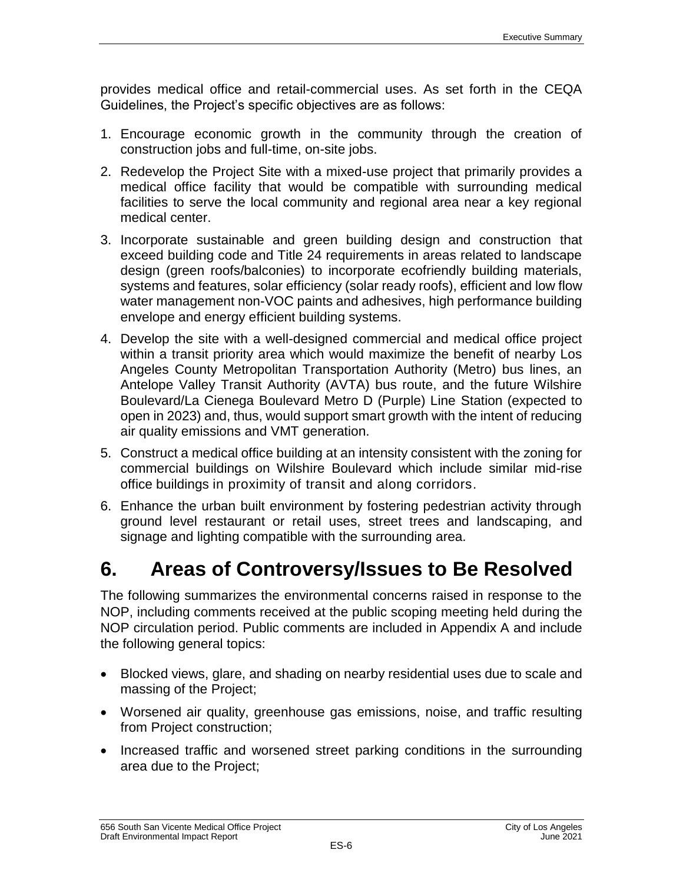provides medical office and retail-commercial uses. As set forth in the CEQA Guidelines, the Project's specific objectives are as follows:

- 1. Encourage economic growth in the community through the creation of construction jobs and full-time, on-site jobs.
- 2. Redevelop the Project Site with a mixed-use project that primarily provides a medical office facility that would be compatible with surrounding medical facilities to serve the local community and regional area near a key regional medical center.
- 3. Incorporate sustainable and green building design and construction that exceed building code and Title 24 requirements in areas related to landscape design (green roofs/balconies) to incorporate ecofriendly building materials, systems and features, solar efficiency (solar ready roofs), efficient and low flow water management non-VOC paints and adhesives, high performance building envelope and energy efficient building systems.
- 4. Develop the site with a well-designed commercial and medical office project within a transit priority area which would maximize the benefit of nearby Los Angeles County Metropolitan Transportation Authority (Metro) bus lines, an Antelope Valley Transit Authority (AVTA) bus route, and the future Wilshire Boulevard/La Cienega Boulevard Metro D (Purple) Line Station (expected to open in 2023) and, thus, would support smart growth with the intent of reducing air quality emissions and VMT generation.
- 5. Construct a medical office building at an intensity consistent with the zoning for commercial buildings on Wilshire Boulevard which include similar mid-rise office buildings in proximity of transit and along corridors.
- 6. Enhance the urban built environment by fostering pedestrian activity through ground level restaurant or retail uses, street trees and landscaping, and signage and lighting compatible with the surrounding area.

### **6. Areas of Controversy/Issues to Be Resolved**

The following summarizes the environmental concerns raised in response to the NOP, including comments received at the public scoping meeting held during the NOP circulation period. Public comments are included in Appendix A and include the following general topics:

- Blocked views, glare, and shading on nearby residential uses due to scale and massing of the Project;
- Worsened air quality, greenhouse gas emissions, noise, and traffic resulting from Project construction;
- Increased traffic and worsened street parking conditions in the surrounding area due to the Project;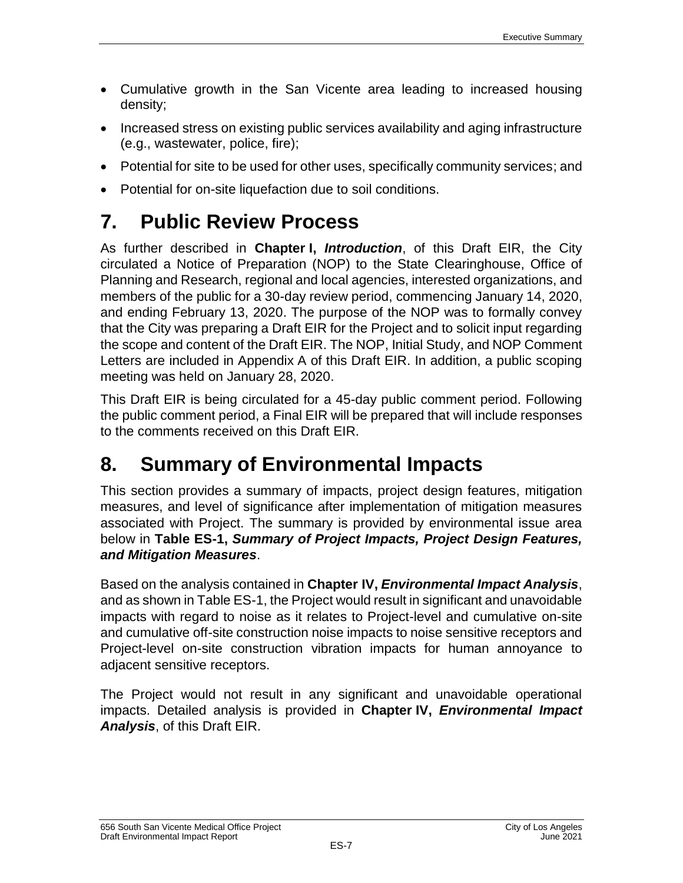- Cumulative growth in the San Vicente area leading to increased housing density;
- Increased stress on existing public services availability and aging infrastructure (e.g., wastewater, police, fire);
- Potential for site to be used for other uses, specifically community services; and
- Potential for on-site liquefaction due to soil conditions.

## **7. Public Review Process**

As further described in **Chapter I,** *Introduction*, of this Draft EIR, the City circulated a Notice of Preparation (NOP) to the State Clearinghouse, Office of Planning and Research, regional and local agencies, interested organizations, and members of the public for a 30-day review period, commencing January 14, 2020, and ending February 13, 2020. The purpose of the NOP was to formally convey that the City was preparing a Draft EIR for the Project and to solicit input regarding the scope and content of the Draft EIR. The NOP, Initial Study, and NOP Comment Letters are included in Appendix A of this Draft EIR. In addition, a public scoping meeting was held on January 28, 2020.

This Draft EIR is being circulated for a 45-day public comment period. Following the public comment period, a Final EIR will be prepared that will include responses to the comments received on this Draft EIR.

## **8. Summary of Environmental Impacts**

This section provides a summary of impacts, project design features, mitigation measures, and level of significance after implementation of mitigation measures associated with Project. The summary is provided by environmental issue area below in **Table ES-1,** *Summary of Project Impacts, Project Design Features, and Mitigation Measures*.

Based on the analysis contained in **Chapter IV,** *Environmental Impact Analysis*, and as shown in Table ES-1, the Project would result in significant and unavoidable impacts with regard to noise as it relates to Project-level and cumulative on-site and cumulative off-site construction noise impacts to noise sensitive receptors and Project-level on-site construction vibration impacts for human annoyance to adjacent sensitive receptors.

The Project would not result in any significant and unavoidable operational impacts. Detailed analysis is provided in **Chapter IV,** *Environmental Impact Analysis*, of this Draft EIR.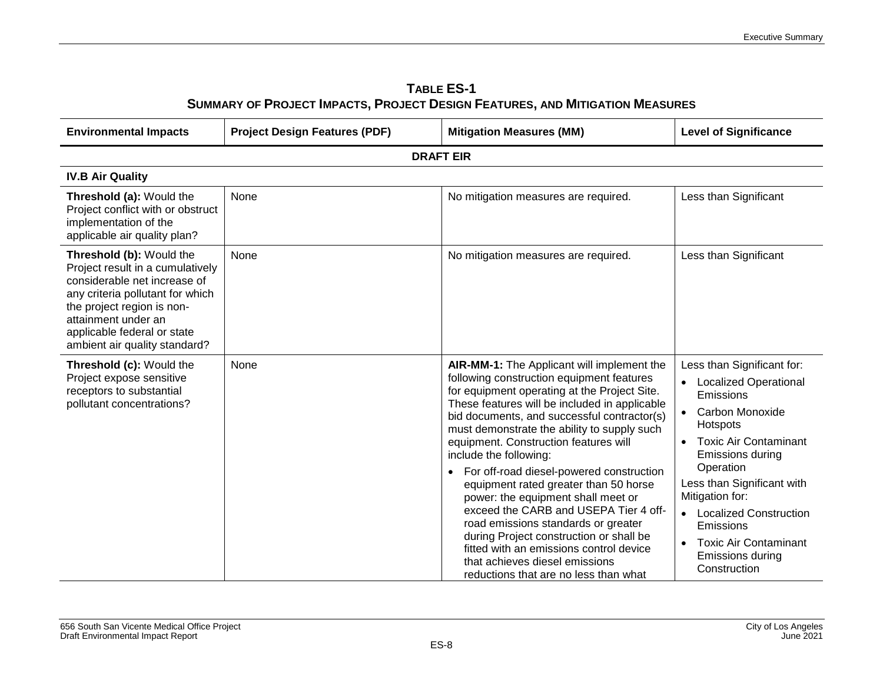| <b>TABLE ES-1</b>                                                            |
|------------------------------------------------------------------------------|
| SUMMARY OF PROJECT IMPACTS, PROJECT DESIGN FEATURES, AND MITIGATION MEASURES |

| <b>Environmental Impacts</b>                                                                                                                                                                                                                          | <b>Project Design Features (PDF)</b> | <b>Mitigation Measures (MM)</b>                                                                                                                                                                                                                                                                                                                                                                                                                                                                                                                                                                                                                                                                                                                    | <b>Level of Significance</b>                                                                                                                                                                                                                                                                                                                                    |  |  |
|-------------------------------------------------------------------------------------------------------------------------------------------------------------------------------------------------------------------------------------------------------|--------------------------------------|----------------------------------------------------------------------------------------------------------------------------------------------------------------------------------------------------------------------------------------------------------------------------------------------------------------------------------------------------------------------------------------------------------------------------------------------------------------------------------------------------------------------------------------------------------------------------------------------------------------------------------------------------------------------------------------------------------------------------------------------------|-----------------------------------------------------------------------------------------------------------------------------------------------------------------------------------------------------------------------------------------------------------------------------------------------------------------------------------------------------------------|--|--|
| <b>DRAFT EIR</b>                                                                                                                                                                                                                                      |                                      |                                                                                                                                                                                                                                                                                                                                                                                                                                                                                                                                                                                                                                                                                                                                                    |                                                                                                                                                                                                                                                                                                                                                                 |  |  |
| <b>IV.B Air Quality</b>                                                                                                                                                                                                                               |                                      |                                                                                                                                                                                                                                                                                                                                                                                                                                                                                                                                                                                                                                                                                                                                                    |                                                                                                                                                                                                                                                                                                                                                                 |  |  |
| Threshold (a): Would the<br>Project conflict with or obstruct<br>implementation of the<br>applicable air quality plan?                                                                                                                                | None                                 | No mitigation measures are required.                                                                                                                                                                                                                                                                                                                                                                                                                                                                                                                                                                                                                                                                                                               | Less than Significant                                                                                                                                                                                                                                                                                                                                           |  |  |
| Threshold (b): Would the<br>Project result in a cumulatively<br>considerable net increase of<br>any criteria pollutant for which<br>the project region is non-<br>attainment under an<br>applicable federal or state<br>ambient air quality standard? | None                                 | No mitigation measures are required.                                                                                                                                                                                                                                                                                                                                                                                                                                                                                                                                                                                                                                                                                                               | Less than Significant                                                                                                                                                                                                                                                                                                                                           |  |  |
| Threshold (c): Would the<br>Project expose sensitive<br>receptors to substantial<br>pollutant concentrations?                                                                                                                                         | None                                 | AIR-MM-1: The Applicant will implement the<br>following construction equipment features<br>for equipment operating at the Project Site.<br>These features will be included in applicable<br>bid documents, and successful contractor(s)<br>must demonstrate the ability to supply such<br>equipment. Construction features will<br>include the following:<br>For off-road diesel-powered construction<br>$\bullet$<br>equipment rated greater than 50 horse<br>power: the equipment shall meet or<br>exceed the CARB and USEPA Tier 4 off-<br>road emissions standards or greater<br>during Project construction or shall be<br>fitted with an emissions control device<br>that achieves diesel emissions<br>reductions that are no less than what | Less than Significant for:<br><b>Localized Operational</b><br>Emissions<br><b>Carbon Monoxide</b><br>Hotspots<br><b>Toxic Air Contaminant</b><br>Emissions during<br>Operation<br>Less than Significant with<br>Mitigation for:<br><b>Localized Construction</b><br><b>Emissions</b><br><b>Toxic Air Contaminant</b><br><b>Emissions during</b><br>Construction |  |  |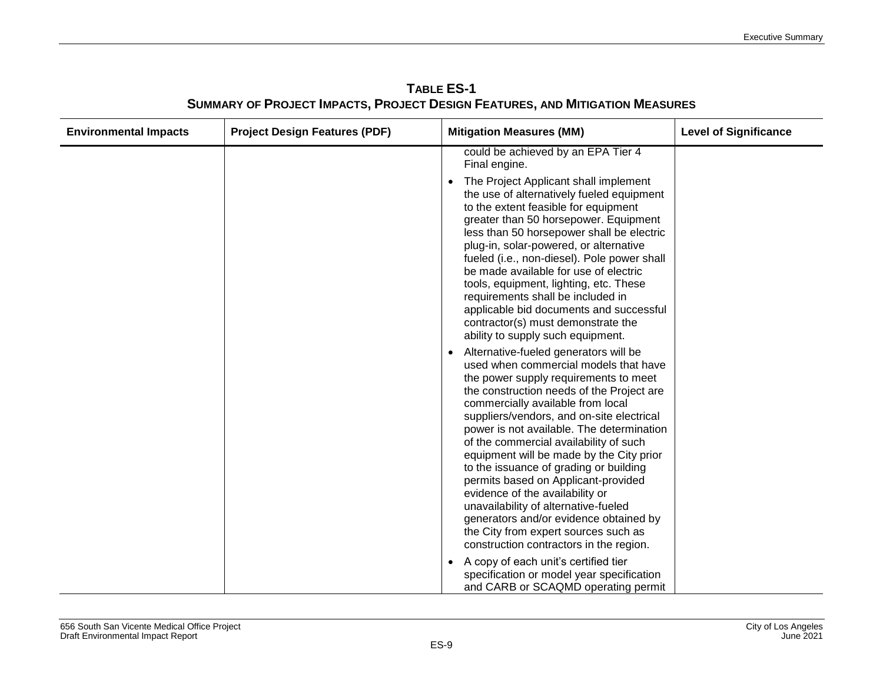| <b>Environmental Impacts</b> | <b>Project Design Features (PDF)</b> | <b>Mitigation Measures (MM)</b>                                                                                                                                                                                                                                                                                                                                                                                                                                                                                                                                                                                                                                                    | <b>Level of Significance</b> |
|------------------------------|--------------------------------------|------------------------------------------------------------------------------------------------------------------------------------------------------------------------------------------------------------------------------------------------------------------------------------------------------------------------------------------------------------------------------------------------------------------------------------------------------------------------------------------------------------------------------------------------------------------------------------------------------------------------------------------------------------------------------------|------------------------------|
|                              |                                      | could be achieved by an EPA Tier 4<br>Final engine.                                                                                                                                                                                                                                                                                                                                                                                                                                                                                                                                                                                                                                |                              |
|                              |                                      | The Project Applicant shall implement<br>the use of alternatively fueled equipment<br>to the extent feasible for equipment<br>greater than 50 horsepower. Equipment<br>less than 50 horsepower shall be electric<br>plug-in, solar-powered, or alternative<br>fueled (i.e., non-diesel). Pole power shall<br>be made available for use of electric<br>tools, equipment, lighting, etc. These<br>requirements shall be included in<br>applicable bid documents and successful<br>contractor(s) must demonstrate the<br>ability to supply such equipment.                                                                                                                            |                              |
|                              |                                      | Alternative-fueled generators will be<br>used when commercial models that have<br>the power supply requirements to meet<br>the construction needs of the Project are<br>commercially available from local<br>suppliers/vendors, and on-site electrical<br>power is not available. The determination<br>of the commercial availability of such<br>equipment will be made by the City prior<br>to the issuance of grading or building<br>permits based on Applicant-provided<br>evidence of the availability or<br>unavailability of alternative-fueled<br>generators and/or evidence obtained by<br>the City from expert sources such as<br>construction contractors in the region. |                              |
|                              |                                      | • A copy of each unit's certified tier<br>specification or model year specification<br>and CARB or SCAQMD operating permit                                                                                                                                                                                                                                                                                                                                                                                                                                                                                                                                                         |                              |

**TABLE ES-1 SUMMARY OF PROJECT IMPACTS, PROJECT DESIGN FEATURES, AND MITIGATION MEASURES**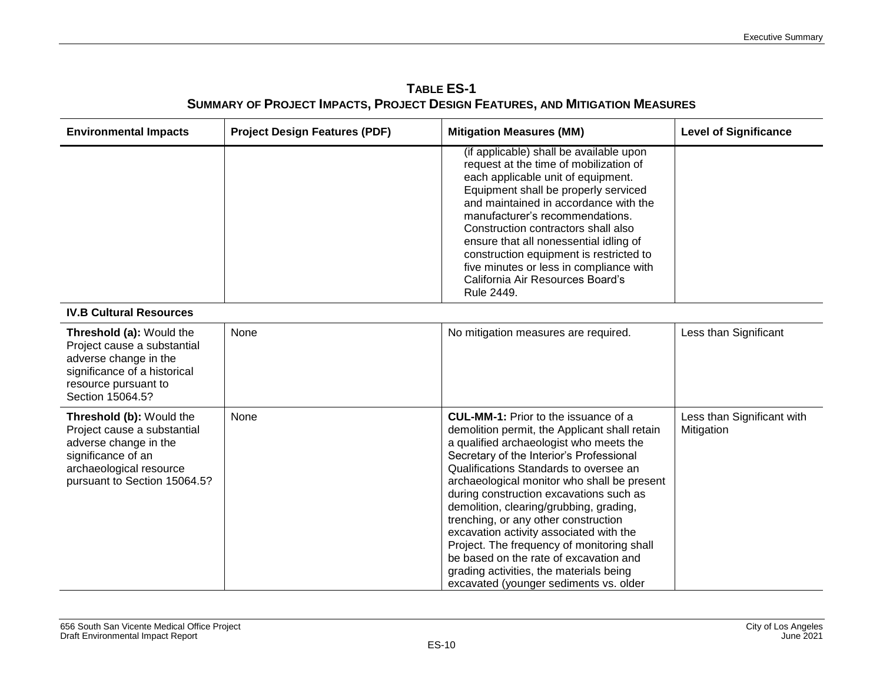**TABLE ES-1 SUMMARY OF PROJECT IMPACTS, PROJECT DESIGN FEATURES, AND MITIGATION MEASURES**

| <b>Environmental Impacts</b>                                                                                                                                      | <b>Project Design Features (PDF)</b> | <b>Mitigation Measures (MM)</b>                                                                                                                                                                                                                                                                                                                                                                                                                                                                                                                                                                                                    | <b>Level of Significance</b>             |
|-------------------------------------------------------------------------------------------------------------------------------------------------------------------|--------------------------------------|------------------------------------------------------------------------------------------------------------------------------------------------------------------------------------------------------------------------------------------------------------------------------------------------------------------------------------------------------------------------------------------------------------------------------------------------------------------------------------------------------------------------------------------------------------------------------------------------------------------------------------|------------------------------------------|
|                                                                                                                                                                   |                                      | (if applicable) shall be available upon<br>request at the time of mobilization of<br>each applicable unit of equipment.<br>Equipment shall be properly serviced<br>and maintained in accordance with the<br>manufacturer's recommendations.<br>Construction contractors shall also<br>ensure that all nonessential idling of<br>construction equipment is restricted to<br>five minutes or less in compliance with<br>California Air Resources Board's<br>Rule 2449.                                                                                                                                                               |                                          |
| <b>IV.B Cultural Resources</b>                                                                                                                                    |                                      |                                                                                                                                                                                                                                                                                                                                                                                                                                                                                                                                                                                                                                    |                                          |
| Threshold (a): Would the<br>Project cause a substantial<br>adverse change in the<br>significance of a historical<br>resource pursuant to<br>Section 15064.5?      | None                                 | No mitigation measures are required.                                                                                                                                                                                                                                                                                                                                                                                                                                                                                                                                                                                               | Less than Significant                    |
| Threshold (b): Would the<br>Project cause a substantial<br>adverse change in the<br>significance of an<br>archaeological resource<br>pursuant to Section 15064.5? | None                                 | <b>CUL-MM-1:</b> Prior to the issuance of a<br>demolition permit, the Applicant shall retain<br>a qualified archaeologist who meets the<br>Secretary of the Interior's Professional<br>Qualifications Standards to oversee an<br>archaeological monitor who shall be present<br>during construction excavations such as<br>demolition, clearing/grubbing, grading,<br>trenching, or any other construction<br>excavation activity associated with the<br>Project. The frequency of monitoring shall<br>be based on the rate of excavation and<br>grading activities, the materials being<br>excavated (younger sediments vs. older | Less than Significant with<br>Mitigation |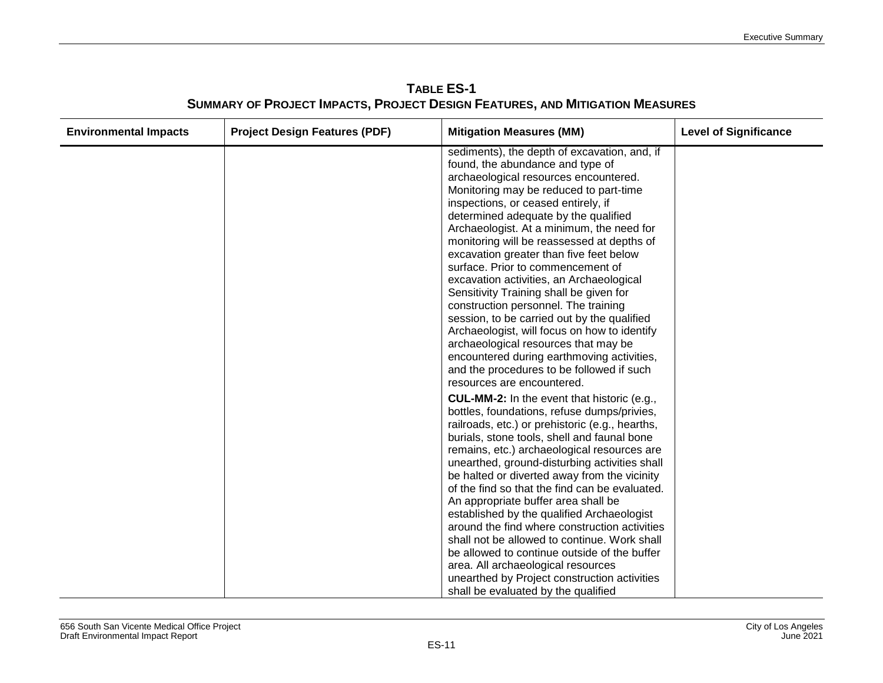| <b>Environmental Impacts</b> | <b>Project Design Features (PDF)</b> | <b>Mitigation Measures (MM)</b>                                                                                                                                                                                                                                                                                                                                                                                                                                                                                                                                                                                                                                                                                                                                                                                              | <b>Level of Significance</b> |
|------------------------------|--------------------------------------|------------------------------------------------------------------------------------------------------------------------------------------------------------------------------------------------------------------------------------------------------------------------------------------------------------------------------------------------------------------------------------------------------------------------------------------------------------------------------------------------------------------------------------------------------------------------------------------------------------------------------------------------------------------------------------------------------------------------------------------------------------------------------------------------------------------------------|------------------------------|
|                              |                                      | sediments), the depth of excavation, and, if<br>found, the abundance and type of<br>archaeological resources encountered.<br>Monitoring may be reduced to part-time<br>inspections, or ceased entirely, if<br>determined adequate by the qualified<br>Archaeologist. At a minimum, the need for<br>monitoring will be reassessed at depths of<br>excavation greater than five feet below<br>surface. Prior to commencement of<br>excavation activities, an Archaeological<br>Sensitivity Training shall be given for<br>construction personnel. The training<br>session, to be carried out by the qualified<br>Archaeologist, will focus on how to identify<br>archaeological resources that may be<br>encountered during earthmoving activities,<br>and the procedures to be followed if such<br>resources are encountered. |                              |
|                              |                                      | <b>CUL-MM-2:</b> In the event that historic (e.g.,<br>bottles, foundations, refuse dumps/privies,<br>railroads, etc.) or prehistoric (e.g., hearths,<br>burials, stone tools, shell and faunal bone<br>remains, etc.) archaeological resources are<br>unearthed, ground-disturbing activities shall<br>be halted or diverted away from the vicinity<br>of the find so that the find can be evaluated.<br>An appropriate buffer area shall be<br>established by the qualified Archaeologist<br>around the find where construction activities<br>shall not be allowed to continue. Work shall<br>be allowed to continue outside of the buffer<br>area. All archaeological resources<br>unearthed by Project construction activities<br>shall be evaluated by the qualified                                                     |                              |

**TABLE ES-1 SUMMARY OF PROJECT IMPACTS, PROJECT DESIGN FEATURES, AND MITIGATION MEASURES**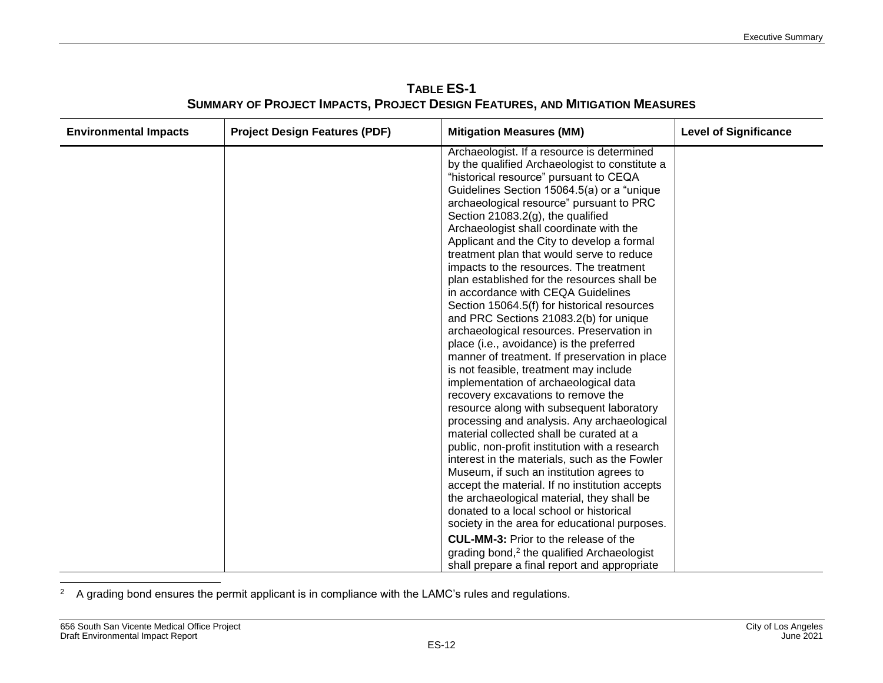| <b>Environmental Impacts</b> | <b>Project Design Features (PDF)</b> | <b>Mitigation Measures (MM)</b>                                                                                                                                                                                                                                                                                                                                                                                                                                                                                                                                                                                                                                                                                                                                                                                                                                                                                                                                                                                                                                                                                                                                                                                                                                                                                                                                                            | <b>Level of Significance</b> |
|------------------------------|--------------------------------------|--------------------------------------------------------------------------------------------------------------------------------------------------------------------------------------------------------------------------------------------------------------------------------------------------------------------------------------------------------------------------------------------------------------------------------------------------------------------------------------------------------------------------------------------------------------------------------------------------------------------------------------------------------------------------------------------------------------------------------------------------------------------------------------------------------------------------------------------------------------------------------------------------------------------------------------------------------------------------------------------------------------------------------------------------------------------------------------------------------------------------------------------------------------------------------------------------------------------------------------------------------------------------------------------------------------------------------------------------------------------------------------------|------------------------------|
|                              |                                      | Archaeologist. If a resource is determined<br>by the qualified Archaeologist to constitute a<br>"historical resource" pursuant to CEQA<br>Guidelines Section 15064.5(a) or a "unique<br>archaeological resource" pursuant to PRC<br>Section 21083.2(g), the qualified<br>Archaeologist shall coordinate with the<br>Applicant and the City to develop a formal<br>treatment plan that would serve to reduce<br>impacts to the resources. The treatment<br>plan established for the resources shall be<br>in accordance with CEQA Guidelines<br>Section 15064.5(f) for historical resources<br>and PRC Sections 21083.2(b) for unique<br>archaeological resources. Preservation in<br>place (i.e., avoidance) is the preferred<br>manner of treatment. If preservation in place<br>is not feasible, treatment may include<br>implementation of archaeological data<br>recovery excavations to remove the<br>resource along with subsequent laboratory<br>processing and analysis. Any archaeological<br>material collected shall be curated at a<br>public, non-profit institution with a research<br>interest in the materials, such as the Fowler<br>Museum, if such an institution agrees to<br>accept the material. If no institution accepts<br>the archaeological material, they shall be<br>donated to a local school or historical<br>society in the area for educational purposes. |                              |
|                              |                                      | <b>CUL-MM-3:</b> Prior to the release of the<br>grading bond, <sup>2</sup> the qualified Archaeologist                                                                                                                                                                                                                                                                                                                                                                                                                                                                                                                                                                                                                                                                                                                                                                                                                                                                                                                                                                                                                                                                                                                                                                                                                                                                                     |                              |

**TABLE ES-1 SUMMARY OF PROJECT IMPACTS, PROJECT DESIGN FEATURES, AND MITIGATION MEASURES**

 $\overline{a}$  $2$  A grading bond ensures the permit applicant is in compliance with the LAMC's rules and regulations.

shall prepare a final report and appropriate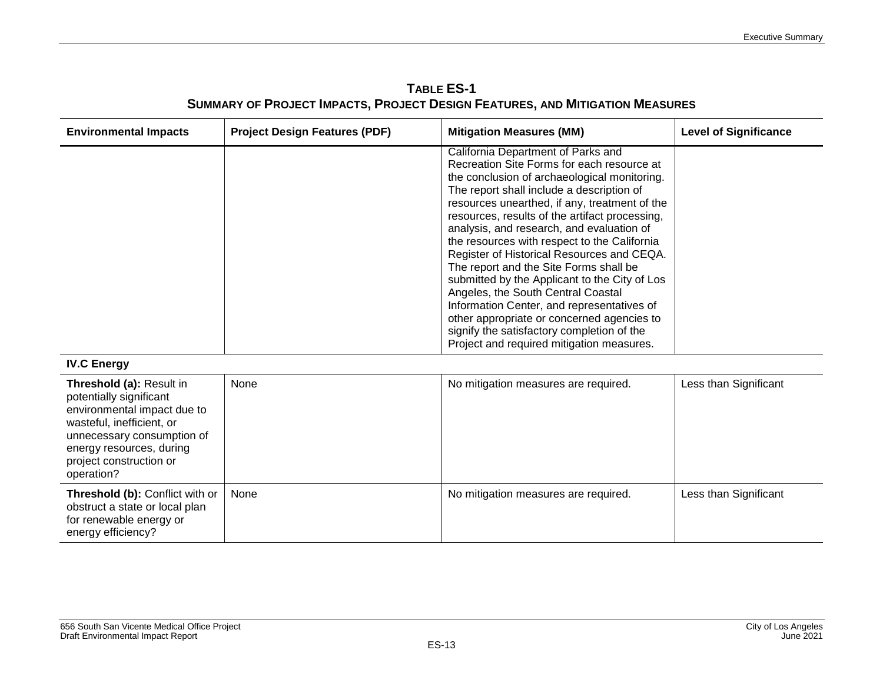**TABLE ES-1 SUMMARY OF PROJECT IMPACTS, PROJECT DESIGN FEATURES, AND MITIGATION MEASURES**

| <b>Environmental Impacts</b> | <b>Project Design Features (PDF)</b> | <b>Mitigation Measures (MM)</b>                                                                                                                                                                                                                                                                                                                                                                                                                                                                                                                                                                                                                                                                                                                     | <b>Level of Significance</b> |
|------------------------------|--------------------------------------|-----------------------------------------------------------------------------------------------------------------------------------------------------------------------------------------------------------------------------------------------------------------------------------------------------------------------------------------------------------------------------------------------------------------------------------------------------------------------------------------------------------------------------------------------------------------------------------------------------------------------------------------------------------------------------------------------------------------------------------------------------|------------------------------|
|                              |                                      | California Department of Parks and<br>Recreation Site Forms for each resource at<br>the conclusion of archaeological monitoring.<br>The report shall include a description of<br>resources unearthed, if any, treatment of the<br>resources, results of the artifact processing,<br>analysis, and research, and evaluation of<br>the resources with respect to the California<br>Register of Historical Resources and CEQA.<br>The report and the Site Forms shall be<br>submitted by the Applicant to the City of Los<br>Angeles, the South Central Coastal<br>Information Center, and representatives of<br>other appropriate or concerned agencies to<br>signify the satisfactory completion of the<br>Project and required mitigation measures. |                              |

#### **IV.C Energy**

| Threshold (a): Result in<br>potentially significant<br>environmental impact due to<br>wasteful, inefficient, or<br>unnecessary consumption of<br>energy resources, during<br>project construction or<br>operation? | None | No mitigation measures are required. | Less than Significant |
|--------------------------------------------------------------------------------------------------------------------------------------------------------------------------------------------------------------------|------|--------------------------------------|-----------------------|
| <b>Threshold (b): Conflict with or  </b><br>obstruct a state or local plan<br>for renewable energy or<br>energy efficiency?                                                                                        | None | No mitigation measures are required. | Less than Significant |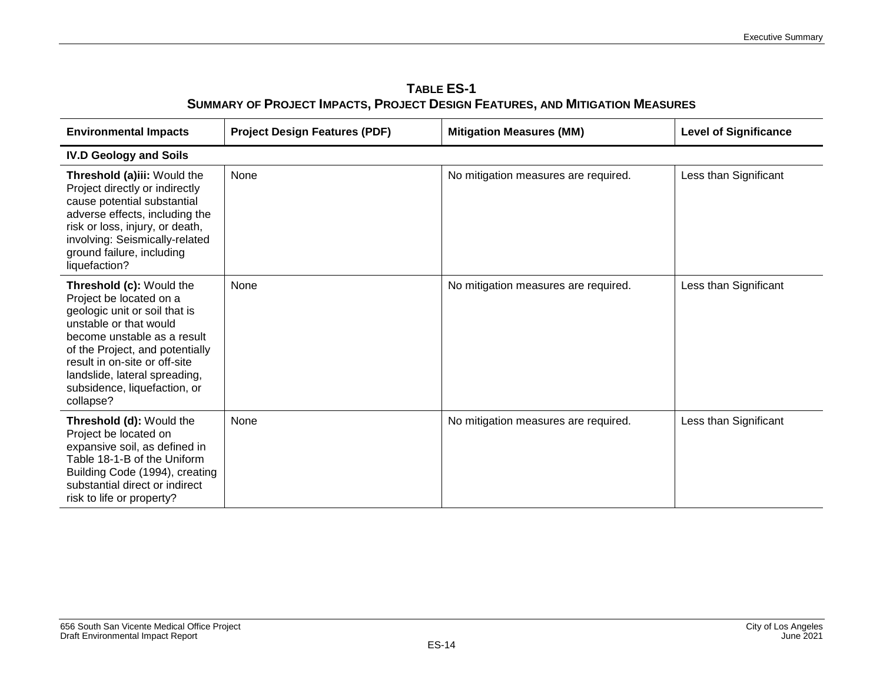| <b>TABLE ES-1</b>                                                                   |
|-------------------------------------------------------------------------------------|
| <b>SUMMARY OF PROJECT IMPACTS, PROJECT DESIGN FEATURES, AND MITIGATION MEASURES</b> |

| <b>Environmental Impacts</b>                                                                                                                                                                                                                                                                    | <b>Project Design Features (PDF)</b> | <b>Mitigation Measures (MM)</b>      | <b>Level of Significance</b> |
|-------------------------------------------------------------------------------------------------------------------------------------------------------------------------------------------------------------------------------------------------------------------------------------------------|--------------------------------------|--------------------------------------|------------------------------|
| <b>IV.D Geology and Soils</b>                                                                                                                                                                                                                                                                   |                                      |                                      |                              |
| Threshold (a)iii: Would the<br>Project directly or indirectly<br>cause potential substantial<br>adverse effects, including the<br>risk or loss, injury, or death,<br>involving: Seismically-related<br>ground failure, including<br>liquefaction?                                               | None                                 | No mitigation measures are required. | Less than Significant        |
| Threshold (c): Would the<br>Project be located on a<br>geologic unit or soil that is<br>unstable or that would<br>become unstable as a result<br>of the Project, and potentially<br>result in on-site or off-site<br>landslide, lateral spreading,<br>subsidence, liquefaction, or<br>collapse? | None                                 | No mitigation measures are required. | Less than Significant        |
| Threshold (d): Would the<br>Project be located on<br>expansive soil, as defined in<br>Table 18-1-B of the Uniform<br>Building Code (1994), creating<br>substantial direct or indirect<br>risk to life or property?                                                                              | None                                 | No mitigation measures are required. | Less than Significant        |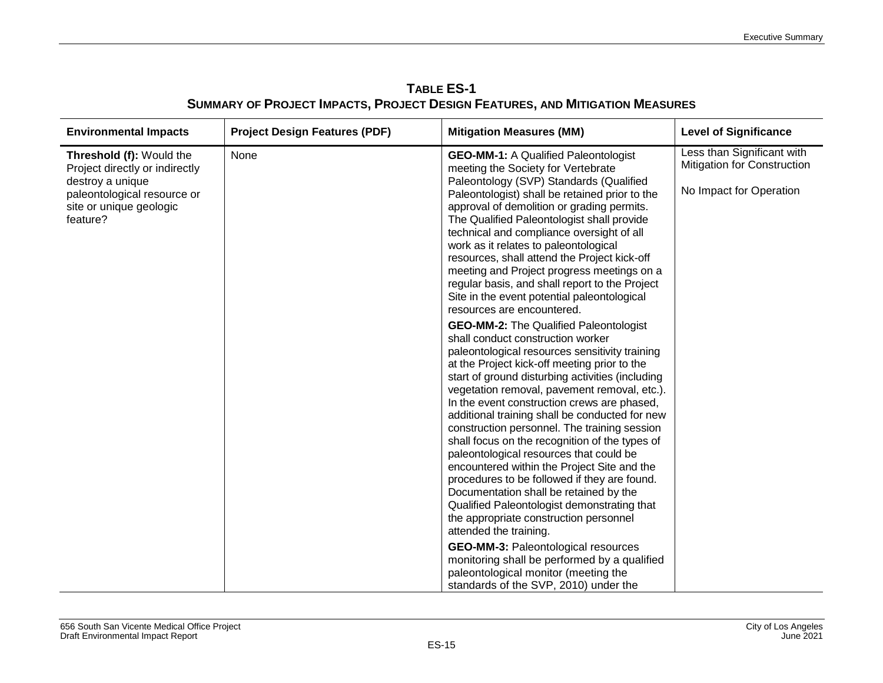| <b>Environmental Impacts</b>                                                                                                                         | <b>Project Design Features (PDF)</b> | <b>Mitigation Measures (MM)</b>                                                                                                                                                                                                                                                                                                                                                                                                                                                                                                                                                                                                                                                                                                                                                                                                                                                                                                                                                                                                                                                                                                         | <b>Level of Significance</b>                                                                |
|------------------------------------------------------------------------------------------------------------------------------------------------------|--------------------------------------|-----------------------------------------------------------------------------------------------------------------------------------------------------------------------------------------------------------------------------------------------------------------------------------------------------------------------------------------------------------------------------------------------------------------------------------------------------------------------------------------------------------------------------------------------------------------------------------------------------------------------------------------------------------------------------------------------------------------------------------------------------------------------------------------------------------------------------------------------------------------------------------------------------------------------------------------------------------------------------------------------------------------------------------------------------------------------------------------------------------------------------------------|---------------------------------------------------------------------------------------------|
| Threshold (f): Would the<br>Project directly or indirectly<br>destroy a unique<br>paleontological resource or<br>site or unique geologic<br>feature? | None                                 | <b>GEO-MM-1:</b> A Qualified Paleontologist<br>meeting the Society for Vertebrate<br>Paleontology (SVP) Standards (Qualified<br>Paleontologist) shall be retained prior to the<br>approval of demolition or grading permits.<br>The Qualified Paleontologist shall provide<br>technical and compliance oversight of all<br>work as it relates to paleontological<br>resources, shall attend the Project kick-off<br>meeting and Project progress meetings on a<br>regular basis, and shall report to the Project<br>Site in the event potential paleontological<br>resources are encountered.<br><b>GEO-MM-2:</b> The Qualified Paleontologist<br>shall conduct construction worker<br>paleontological resources sensitivity training<br>at the Project kick-off meeting prior to the<br>start of ground disturbing activities (including<br>vegetation removal, pavement removal, etc.).<br>In the event construction crews are phased,<br>additional training shall be conducted for new<br>construction personnel. The training session<br>shall focus on the recognition of the types of<br>paleontological resources that could be | Less than Significant with<br><b>Mitigation for Construction</b><br>No Impact for Operation |
|                                                                                                                                                      |                                      | encountered within the Project Site and the<br>procedures to be followed if they are found.<br>Documentation shall be retained by the<br>Qualified Paleontologist demonstrating that<br>the appropriate construction personnel<br>attended the training.                                                                                                                                                                                                                                                                                                                                                                                                                                                                                                                                                                                                                                                                                                                                                                                                                                                                                |                                                                                             |
|                                                                                                                                                      |                                      | <b>GEO-MM-3: Paleontological resources</b><br>monitoring shall be performed by a qualified<br>paleontological monitor (meeting the<br>standards of the SVP, 2010) under the                                                                                                                                                                                                                                                                                                                                                                                                                                                                                                                                                                                                                                                                                                                                                                                                                                                                                                                                                             |                                                                                             |

**TABLE ES-1 SUMMARY OF PROJECT IMPACTS, PROJECT DESIGN FEATURES, AND MITIGATION MEASURES**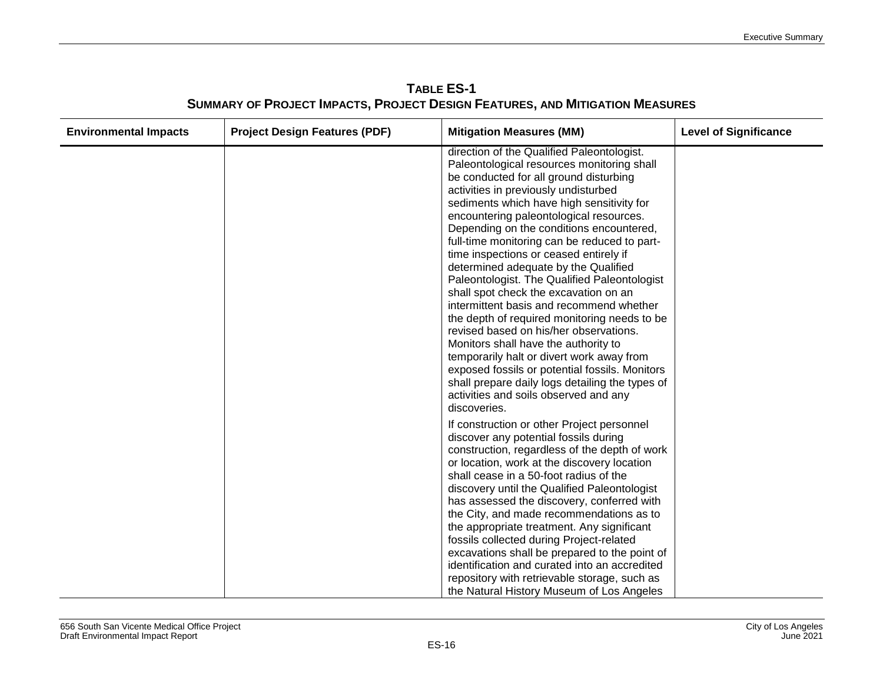| <b>TABLE ES-1</b>                                                                   |  |
|-------------------------------------------------------------------------------------|--|
| <b>SUMMARY OF PROJECT IMPACTS, PROJECT DESIGN FEATURES, AND MITIGATION MEASURES</b> |  |

| <b>Environmental Impacts</b> | <b>Project Design Features (PDF)</b> | <b>Mitigation Measures (MM)</b>                                                                                                                                                                                                                                                                                                                                                                                                                                                                                                                                                                                                                                                                                                                                                                                                                                                                                                    | <b>Level of Significance</b> |
|------------------------------|--------------------------------------|------------------------------------------------------------------------------------------------------------------------------------------------------------------------------------------------------------------------------------------------------------------------------------------------------------------------------------------------------------------------------------------------------------------------------------------------------------------------------------------------------------------------------------------------------------------------------------------------------------------------------------------------------------------------------------------------------------------------------------------------------------------------------------------------------------------------------------------------------------------------------------------------------------------------------------|------------------------------|
|                              |                                      | direction of the Qualified Paleontologist.<br>Paleontological resources monitoring shall<br>be conducted for all ground disturbing<br>activities in previously undisturbed<br>sediments which have high sensitivity for<br>encountering paleontological resources.<br>Depending on the conditions encountered,<br>full-time monitoring can be reduced to part-<br>time inspections or ceased entirely if<br>determined adequate by the Qualified<br>Paleontologist. The Qualified Paleontologist<br>shall spot check the excavation on an<br>intermittent basis and recommend whether<br>the depth of required monitoring needs to be<br>revised based on his/her observations.<br>Monitors shall have the authority to<br>temporarily halt or divert work away from<br>exposed fossils or potential fossils. Monitors<br>shall prepare daily logs detailing the types of<br>activities and soils observed and any<br>discoveries. |                              |
|                              |                                      | If construction or other Project personnel<br>discover any potential fossils during<br>construction, regardless of the depth of work<br>or location, work at the discovery location<br>shall cease in a 50-foot radius of the<br>discovery until the Qualified Paleontologist<br>has assessed the discovery, conferred with<br>the City, and made recommendations as to<br>the appropriate treatment. Any significant<br>fossils collected during Project-related<br>excavations shall be prepared to the point of<br>identification and curated into an accredited<br>repository with retrievable storage, such as<br>the Natural History Museum of Los Angeles                                                                                                                                                                                                                                                                   |                              |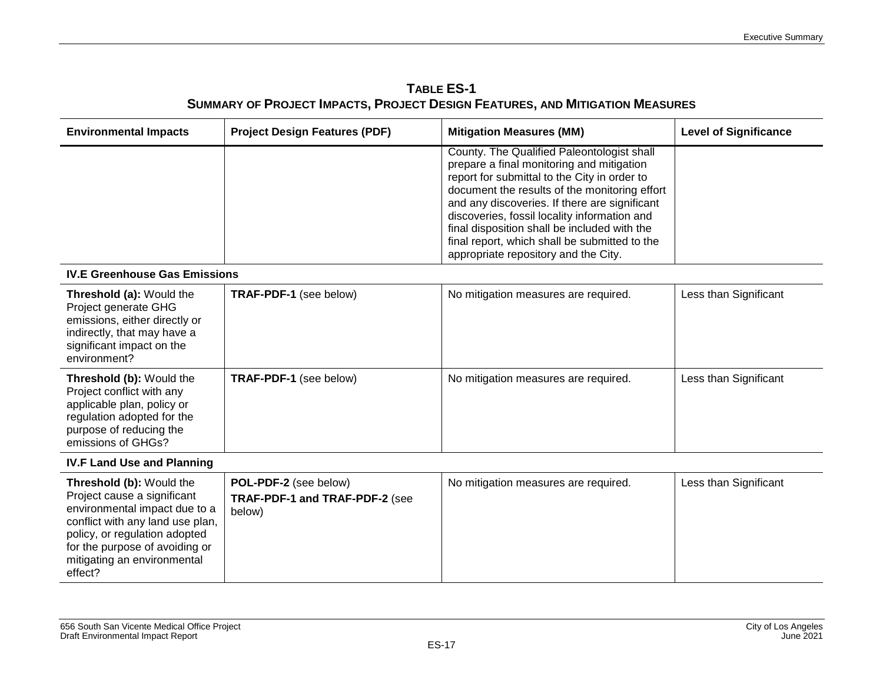| <b>TABLE ES-1</b>                                                                   |
|-------------------------------------------------------------------------------------|
| <b>SUMMARY OF PROJECT IMPACTS, PROJECT DESIGN FEATURES, AND MITIGATION MEASURES</b> |

| <b>Environmental Impacts</b>                                                                                                                                                                                                              | <b>Project Design Features (PDF)</b>                              | <b>Mitigation Measures (MM)</b>                                                                                                                                                                                                                                                                                                                                                                                                    | <b>Level of Significance</b> |
|-------------------------------------------------------------------------------------------------------------------------------------------------------------------------------------------------------------------------------------------|-------------------------------------------------------------------|------------------------------------------------------------------------------------------------------------------------------------------------------------------------------------------------------------------------------------------------------------------------------------------------------------------------------------------------------------------------------------------------------------------------------------|------------------------------|
|                                                                                                                                                                                                                                           |                                                                   | County. The Qualified Paleontologist shall<br>prepare a final monitoring and mitigation<br>report for submittal to the City in order to<br>document the results of the monitoring effort<br>and any discoveries. If there are significant<br>discoveries, fossil locality information and<br>final disposition shall be included with the<br>final report, which shall be submitted to the<br>appropriate repository and the City. |                              |
| <b>IV.E Greenhouse Gas Emissions</b>                                                                                                                                                                                                      |                                                                   |                                                                                                                                                                                                                                                                                                                                                                                                                                    |                              |
| Threshold (a): Would the<br>Project generate GHG<br>emissions, either directly or<br>indirectly, that may have a<br>significant impact on the<br>environment?                                                                             | TRAF-PDF-1 (see below)                                            | No mitigation measures are required.                                                                                                                                                                                                                                                                                                                                                                                               | Less than Significant        |
| Threshold (b): Would the<br>Project conflict with any<br>applicable plan, policy or<br>regulation adopted for the<br>purpose of reducing the<br>emissions of GHGs?                                                                        | TRAF-PDF-1 (see below)                                            | No mitigation measures are required.                                                                                                                                                                                                                                                                                                                                                                                               | Less than Significant        |
| <b>IV.F Land Use and Planning</b>                                                                                                                                                                                                         |                                                                   |                                                                                                                                                                                                                                                                                                                                                                                                                                    |                              |
| Threshold (b): Would the<br>Project cause a significant<br>environmental impact due to a<br>conflict with any land use plan,<br>policy, or regulation adopted<br>for the purpose of avoiding or<br>mitigating an environmental<br>effect? | POL-PDF-2 (see below)<br>TRAF-PDF-1 and TRAF-PDF-2 (see<br>below) | No mitigation measures are required.                                                                                                                                                                                                                                                                                                                                                                                               | Less than Significant        |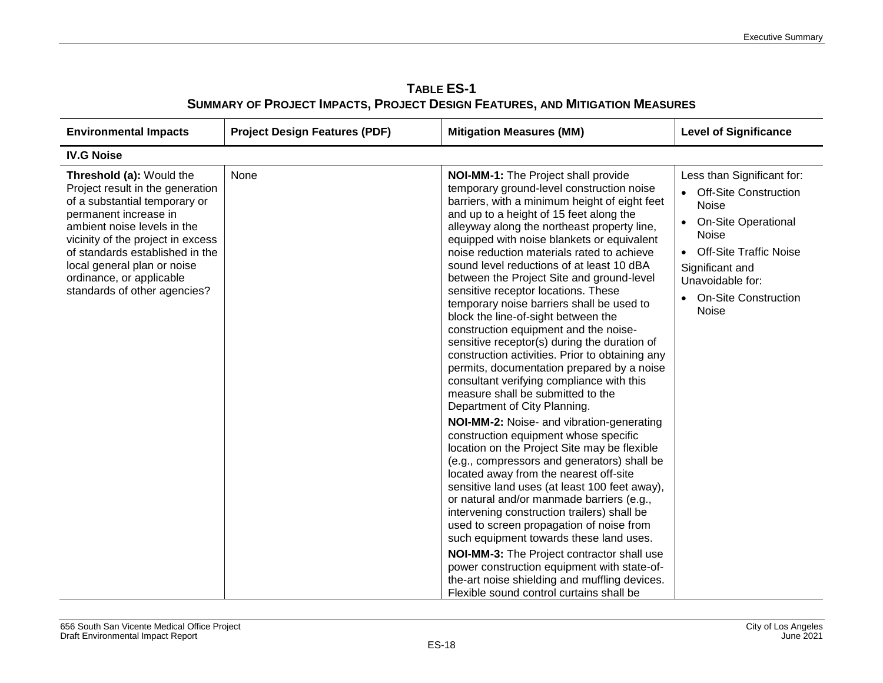| <b>TABLE ES-1</b>                                                                   |
|-------------------------------------------------------------------------------------|
| <b>SUMMARY OF PROJECT IMPACTS, PROJECT DESIGN FEATURES, AND MITIGATION MEASURES</b> |

| <b>Environmental Impacts</b>                                                                                                                                                                                                                                                                                             | <b>Project Design Features (PDF)</b> | <b>Mitigation Measures (MM)</b>                                                                                                                                                                                                                                                                                                                                                                                                                                                                                                                                                                                                                                                                                                                                                                                                                                                                                                                                                                                                                                                                                                                                                                                                                                                                                                                                                                                                                                                                                       | <b>Level of Significance</b>                                                                                                                                                                                                                    |
|--------------------------------------------------------------------------------------------------------------------------------------------------------------------------------------------------------------------------------------------------------------------------------------------------------------------------|--------------------------------------|-----------------------------------------------------------------------------------------------------------------------------------------------------------------------------------------------------------------------------------------------------------------------------------------------------------------------------------------------------------------------------------------------------------------------------------------------------------------------------------------------------------------------------------------------------------------------------------------------------------------------------------------------------------------------------------------------------------------------------------------------------------------------------------------------------------------------------------------------------------------------------------------------------------------------------------------------------------------------------------------------------------------------------------------------------------------------------------------------------------------------------------------------------------------------------------------------------------------------------------------------------------------------------------------------------------------------------------------------------------------------------------------------------------------------------------------------------------------------------------------------------------------------|-------------------------------------------------------------------------------------------------------------------------------------------------------------------------------------------------------------------------------------------------|
| <b>IV.G Noise</b>                                                                                                                                                                                                                                                                                                        |                                      |                                                                                                                                                                                                                                                                                                                                                                                                                                                                                                                                                                                                                                                                                                                                                                                                                                                                                                                                                                                                                                                                                                                                                                                                                                                                                                                                                                                                                                                                                                                       |                                                                                                                                                                                                                                                 |
| Threshold (a): Would the<br>Project result in the generation<br>of a substantial temporary or<br>permanent increase in<br>ambient noise levels in the<br>vicinity of the project in excess<br>of standards established in the<br>local general plan or noise<br>ordinance, or applicable<br>standards of other agencies? | None                                 | NOI-MM-1: The Project shall provide<br>temporary ground-level construction noise<br>barriers, with a minimum height of eight feet<br>and up to a height of 15 feet along the<br>alleyway along the northeast property line,<br>equipped with noise blankets or equivalent<br>noise reduction materials rated to achieve<br>sound level reductions of at least 10 dBA<br>between the Project Site and ground-level<br>sensitive receptor locations. These<br>temporary noise barriers shall be used to<br>block the line-of-sight between the<br>construction equipment and the noise-<br>sensitive receptor(s) during the duration of<br>construction activities. Prior to obtaining any<br>permits, documentation prepared by a noise<br>consultant verifying compliance with this<br>measure shall be submitted to the<br>Department of City Planning.<br>NOI-MM-2: Noise- and vibration-generating<br>construction equipment whose specific<br>location on the Project Site may be flexible<br>(e.g., compressors and generators) shall be<br>located away from the nearest off-site<br>sensitive land uses (at least 100 feet away),<br>or natural and/or manmade barriers (e.g.,<br>intervening construction trailers) shall be<br>used to screen propagation of noise from<br>such equipment towards these land uses.<br>NOI-MM-3: The Project contractor shall use<br>power construction equipment with state-of-<br>the-art noise shielding and muffling devices.<br>Flexible sound control curtains shall be | Less than Significant for:<br><b>Off-Site Construction</b><br><b>Noise</b><br><b>On-Site Operational</b><br><b>Noise</b><br><b>Off-Site Traffic Noise</b><br>Significant and<br>Unavoidable for:<br><b>On-Site Construction</b><br><b>Noise</b> |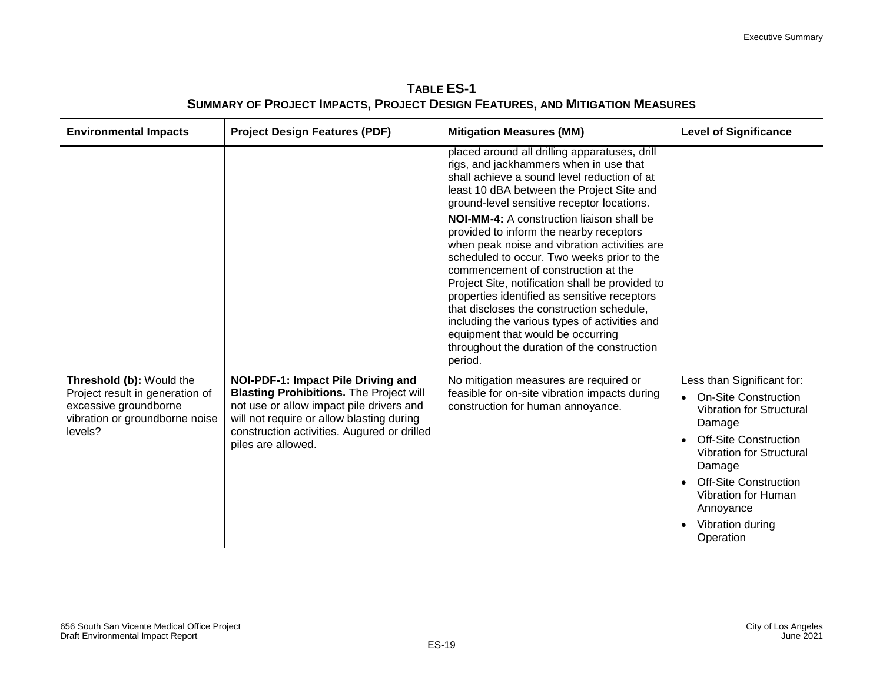| TABLE ES-1                                                                   |  |  |
|------------------------------------------------------------------------------|--|--|
| SUMMARY OF PROJECT IMPACTS, PROJECT DESIGN FEATURES, AND MITIGATION MEASURES |  |  |

| <b>Environmental Impacts</b>                                                                                                      | <b>Project Design Features (PDF)</b>                                                                                                                                                                                                               | <b>Mitigation Measures (MM)</b>                                                                                                                                                                                                                                                                                                                                                                                                                                                                                                                                                                                                                                                                                                                                       | <b>Level of Significance</b>                                                                                                                                                                                                                                                      |
|-----------------------------------------------------------------------------------------------------------------------------------|----------------------------------------------------------------------------------------------------------------------------------------------------------------------------------------------------------------------------------------------------|-----------------------------------------------------------------------------------------------------------------------------------------------------------------------------------------------------------------------------------------------------------------------------------------------------------------------------------------------------------------------------------------------------------------------------------------------------------------------------------------------------------------------------------------------------------------------------------------------------------------------------------------------------------------------------------------------------------------------------------------------------------------------|-----------------------------------------------------------------------------------------------------------------------------------------------------------------------------------------------------------------------------------------------------------------------------------|
|                                                                                                                                   |                                                                                                                                                                                                                                                    | placed around all drilling apparatuses, drill<br>rigs, and jackhammers when in use that<br>shall achieve a sound level reduction of at<br>least 10 dBA between the Project Site and<br>ground-level sensitive receptor locations.<br><b>NOI-MM-4:</b> A construction liaison shall be<br>provided to inform the nearby receptors<br>when peak noise and vibration activities are<br>scheduled to occur. Two weeks prior to the<br>commencement of construction at the<br>Project Site, notification shall be provided to<br>properties identified as sensitive receptors<br>that discloses the construction schedule,<br>including the various types of activities and<br>equipment that would be occurring<br>throughout the duration of the construction<br>period. |                                                                                                                                                                                                                                                                                   |
| Threshold (b): Would the<br>Project result in generation of<br>excessive groundborne<br>vibration or groundborne noise<br>levels? | NOI-PDF-1: Impact Pile Driving and<br><b>Blasting Prohibitions. The Project will</b><br>not use or allow impact pile drivers and<br>will not require or allow blasting during<br>construction activities. Augured or drilled<br>piles are allowed. | No mitigation measures are required or<br>feasible for on-site vibration impacts during<br>construction for human annoyance.                                                                                                                                                                                                                                                                                                                                                                                                                                                                                                                                                                                                                                          | Less than Significant for:<br><b>On-Site Construction</b><br><b>Vibration for Structural</b><br>Damage<br><b>Off-Site Construction</b><br>Vibration for Structural<br>Damage<br><b>Off-Site Construction</b><br>Vibration for Human<br>Annoyance<br>Vibration during<br>Operation |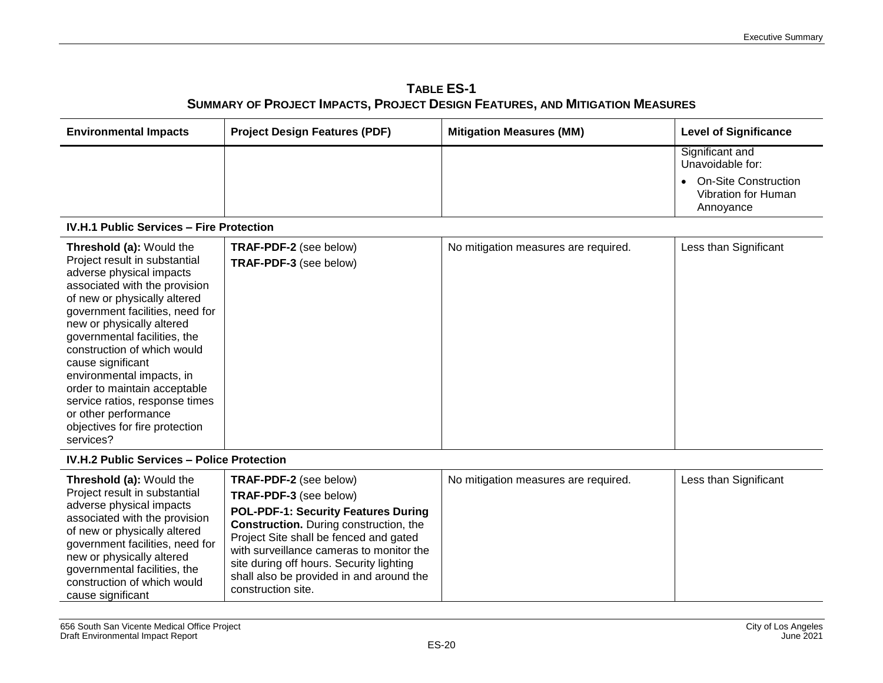| TABLE ES-1                                                                          |
|-------------------------------------------------------------------------------------|
| <b>SUMMARY OF PROJECT IMPACTS, PROJECT DESIGN FEATURES, AND MITIGATION MEASURES</b> |

| <b>Environmental Impacts</b>                                                                                                                                                                                                                                                                                                                                                                                                                                                            | <b>Project Design Features (PDF)</b>                    | <b>Mitigation Measures (MM)</b>      | <b>Level of Significance</b>                                    |
|-----------------------------------------------------------------------------------------------------------------------------------------------------------------------------------------------------------------------------------------------------------------------------------------------------------------------------------------------------------------------------------------------------------------------------------------------------------------------------------------|---------------------------------------------------------|--------------------------------------|-----------------------------------------------------------------|
|                                                                                                                                                                                                                                                                                                                                                                                                                                                                                         |                                                         |                                      | Significant and<br>Unavoidable for:                             |
|                                                                                                                                                                                                                                                                                                                                                                                                                                                                                         |                                                         |                                      | <b>On-Site Construction</b><br>Vibration for Human<br>Annoyance |
| <b>IV.H.1 Public Services - Fire Protection</b>                                                                                                                                                                                                                                                                                                                                                                                                                                         |                                                         |                                      |                                                                 |
| <b>Threshold (a): Would the</b><br>Project result in substantial<br>adverse physical impacts<br>associated with the provision<br>of new or physically altered<br>government facilities, need for<br>new or physically altered<br>governmental facilities, the<br>construction of which would<br>cause significant<br>environmental impacts, in<br>order to maintain acceptable<br>service ratios, response times<br>or other performance<br>objectives for fire protection<br>services? | <b>TRAF-PDF-2</b> (see below)<br>TRAF-PDF-3 (see below) | No mitigation measures are required. | Less than Significant                                           |

#### **IV.H.2 Public Services – Police Protection**

| <b>Threshold (a): Would the</b><br>Project result in substantial<br>adverse physical impacts<br>associated with the provision<br>of new or physically altered<br>government facilities, need for<br>new or physically altered<br>governmental facilities, the<br>construction of which would<br>cause significant | TRAF-PDF-2 (see below)<br>TRAF-PDF-3 (see below)<br><b>POL-PDF-1: Security Features During</b><br><b>Construction.</b> During construction, the<br>Project Site shall be fenced and gated<br>with surveillance cameras to monitor the<br>site during off hours. Security lighting<br>shall also be provided in and around the<br>construction site. | No mitigation measures are required. | Less than Significant |
|-------------------------------------------------------------------------------------------------------------------------------------------------------------------------------------------------------------------------------------------------------------------------------------------------------------------|-----------------------------------------------------------------------------------------------------------------------------------------------------------------------------------------------------------------------------------------------------------------------------------------------------------------------------------------------------|--------------------------------------|-----------------------|
|-------------------------------------------------------------------------------------------------------------------------------------------------------------------------------------------------------------------------------------------------------------------------------------------------------------------|-----------------------------------------------------------------------------------------------------------------------------------------------------------------------------------------------------------------------------------------------------------------------------------------------------------------------------------------------------|--------------------------------------|-----------------------|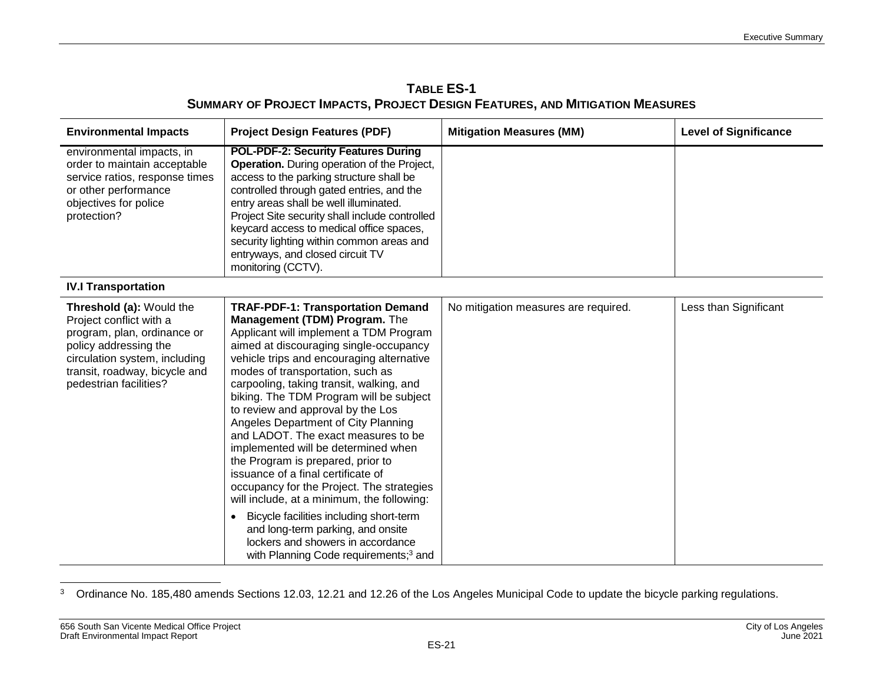| <b>TABLE ES-1</b>                                                                   |
|-------------------------------------------------------------------------------------|
| <b>SUMMARY OF PROJECT IMPACTS, PROJECT DESIGN FEATURES, AND MITIGATION MEASURES</b> |

| <b>Environmental Impacts</b>                                                                                                                                                                            | <b>Project Design Features (PDF)</b>                                                                                                                                                                                                                                                                                                                                                                                                                                                                                                                                                                                                                                                                                                                                                                                                            | <b>Mitigation Measures (MM)</b>      | <b>Level of Significance</b> |
|---------------------------------------------------------------------------------------------------------------------------------------------------------------------------------------------------------|-------------------------------------------------------------------------------------------------------------------------------------------------------------------------------------------------------------------------------------------------------------------------------------------------------------------------------------------------------------------------------------------------------------------------------------------------------------------------------------------------------------------------------------------------------------------------------------------------------------------------------------------------------------------------------------------------------------------------------------------------------------------------------------------------------------------------------------------------|--------------------------------------|------------------------------|
| environmental impacts, in<br>order to maintain acceptable<br>service ratios, response times<br>or other performance<br>objectives for police<br>protection?                                             | <b>POL-PDF-2: Security Features During</b><br><b>Operation.</b> During operation of the Project,<br>access to the parking structure shall be<br>controlled through gated entries, and the<br>entry areas shall be well illuminated.<br>Project Site security shall include controlled<br>keycard access to medical office spaces,<br>security lighting within common areas and<br>entryways, and closed circuit TV<br>monitoring (CCTV).                                                                                                                                                                                                                                                                                                                                                                                                        |                                      |                              |
| <b>IV.I Transportation</b>                                                                                                                                                                              |                                                                                                                                                                                                                                                                                                                                                                                                                                                                                                                                                                                                                                                                                                                                                                                                                                                 |                                      |                              |
| Threshold (a): Would the<br>Project conflict with a<br>program, plan, ordinance or<br>policy addressing the<br>circulation system, including<br>transit, roadway, bicycle and<br>pedestrian facilities? | <b>TRAF-PDF-1: Transportation Demand</b><br>Management (TDM) Program. The<br>Applicant will implement a TDM Program<br>aimed at discouraging single-occupancy<br>vehicle trips and encouraging alternative<br>modes of transportation, such as<br>carpooling, taking transit, walking, and<br>biking. The TDM Program will be subject<br>to review and approval by the Los<br>Angeles Department of City Planning<br>and LADOT. The exact measures to be<br>implemented will be determined when<br>the Program is prepared, prior to<br>issuance of a final certificate of<br>occupancy for the Project. The strategies<br>will include, at a minimum, the following:<br>Bicycle facilities including short-term<br>and long-term parking, and onsite<br>lockers and showers in accordance<br>with Planning Code requirements; <sup>3</sup> and | No mitigation measures are required. | Less than Significant        |

 $\overline{a}$  $3$  Ordinance No. 185,480 amends Sections 12.03, 12.21 and 12.26 of the Los Angeles Municipal Code to update the bicycle parking regulations.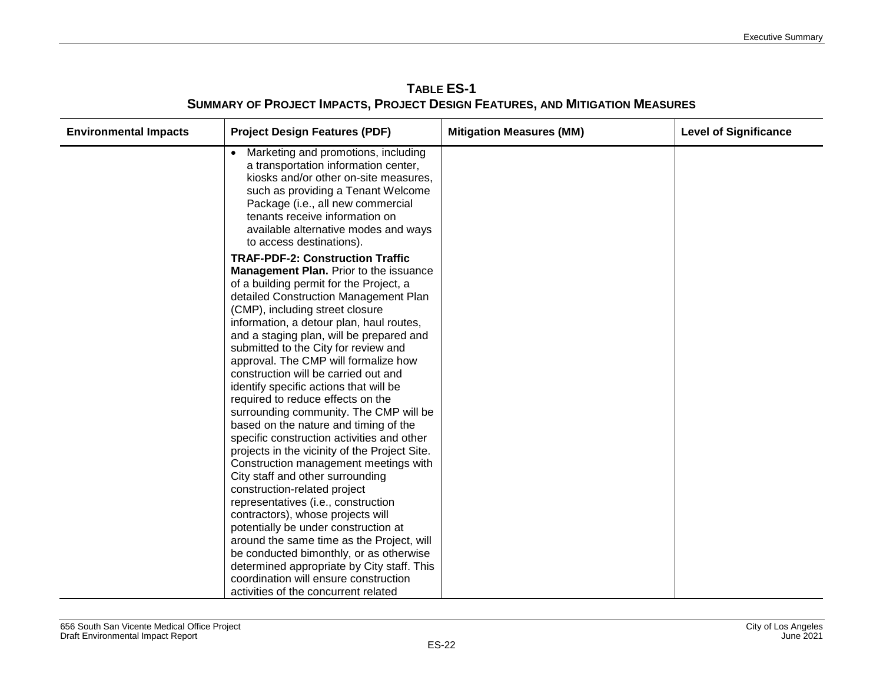| <b>Environmental Impacts</b> | <b>Project Design Features (PDF)</b>                                                                                                                                                                                                                                                                                                                                                                                                                                                                                                                                                                                                                                                                                                                                                                                                                                                      | <b>Mitigation Measures (MM)</b> | <b>Level of Significance</b> |
|------------------------------|-------------------------------------------------------------------------------------------------------------------------------------------------------------------------------------------------------------------------------------------------------------------------------------------------------------------------------------------------------------------------------------------------------------------------------------------------------------------------------------------------------------------------------------------------------------------------------------------------------------------------------------------------------------------------------------------------------------------------------------------------------------------------------------------------------------------------------------------------------------------------------------------|---------------------------------|------------------------------|
|                              | Marketing and promotions, including<br>a transportation information center,<br>kiosks and/or other on-site measures,<br>such as providing a Tenant Welcome<br>Package (i.e., all new commercial<br>tenants receive information on<br>available alternative modes and ways<br>to access destinations).                                                                                                                                                                                                                                                                                                                                                                                                                                                                                                                                                                                     |                                 |                              |
|                              | <b>TRAF-PDF-2: Construction Traffic</b><br><b>Management Plan.</b> Prior to the issuance<br>of a building permit for the Project, a<br>detailed Construction Management Plan<br>(CMP), including street closure<br>information, a detour plan, haul routes,<br>and a staging plan, will be prepared and<br>submitted to the City for review and<br>approval. The CMP will formalize how<br>construction will be carried out and<br>identify specific actions that will be<br>required to reduce effects on the<br>surrounding community. The CMP will be<br>based on the nature and timing of the<br>specific construction activities and other<br>projects in the vicinity of the Project Site.<br>Construction management meetings with<br>City staff and other surrounding<br>construction-related project<br>representatives (i.e., construction<br>contractors), whose projects will |                                 |                              |
|                              | potentially be under construction at<br>around the same time as the Project, will<br>be conducted bimonthly, or as otherwise<br>determined appropriate by City staff. This<br>coordination will ensure construction<br>activities of the concurrent related                                                                                                                                                                                                                                                                                                                                                                                                                                                                                                                                                                                                                               |                                 |                              |

**TABLE ES-1 SUMMARY OF PROJECT IMPACTS, PROJECT DESIGN FEATURES, AND MITIGATION MEASURES**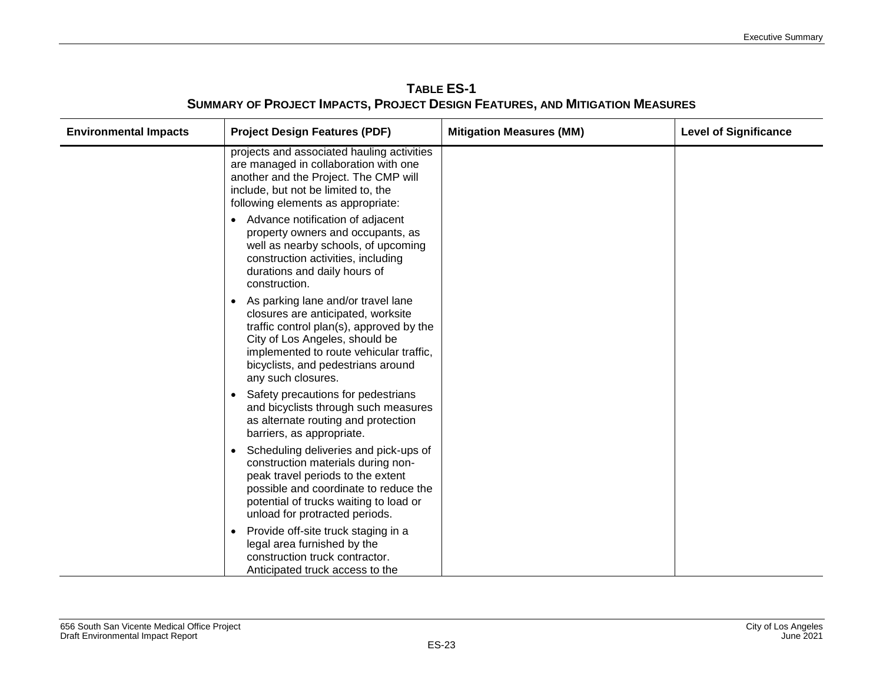| <b>Environmental Impacts</b> | <b>Project Design Features (PDF)</b>                                                                                                                                                                                                                                                                                                                                                                             | <b>Mitigation Measures (MM)</b> | <b>Level of Significance</b> |
|------------------------------|------------------------------------------------------------------------------------------------------------------------------------------------------------------------------------------------------------------------------------------------------------------------------------------------------------------------------------------------------------------------------------------------------------------|---------------------------------|------------------------------|
|                              | projects and associated hauling activities<br>are managed in collaboration with one<br>another and the Project. The CMP will<br>include, but not be limited to, the<br>following elements as appropriate:<br>Advance notification of adjacent<br>property owners and occupants, as<br>well as nearby schools, of upcoming<br>construction activities, including<br>durations and daily hours of<br>construction. |                                 |                              |
|                              | As parking lane and/or travel lane<br>closures are anticipated, worksite<br>traffic control plan(s), approved by the<br>City of Los Angeles, should be<br>implemented to route vehicular traffic,<br>bicyclists, and pedestrians around<br>any such closures.                                                                                                                                                    |                                 |                              |
|                              | Safety precautions for pedestrians<br>and bicyclists through such measures<br>as alternate routing and protection<br>barriers, as appropriate.                                                                                                                                                                                                                                                                   |                                 |                              |
|                              | Scheduling deliveries and pick-ups of<br>construction materials during non-<br>peak travel periods to the extent<br>possible and coordinate to reduce the<br>potential of trucks waiting to load or<br>unload for protracted periods.                                                                                                                                                                            |                                 |                              |
|                              | Provide off-site truck staging in a<br>$\bullet$<br>legal area furnished by the<br>construction truck contractor.<br>Anticipated truck access to the                                                                                                                                                                                                                                                             |                                 |                              |

### **TABLE ES-1 SUMMARY OF PROJECT IMPACTS, PROJECT DESIGN FEATURES, AND MITIGATION MEASURES**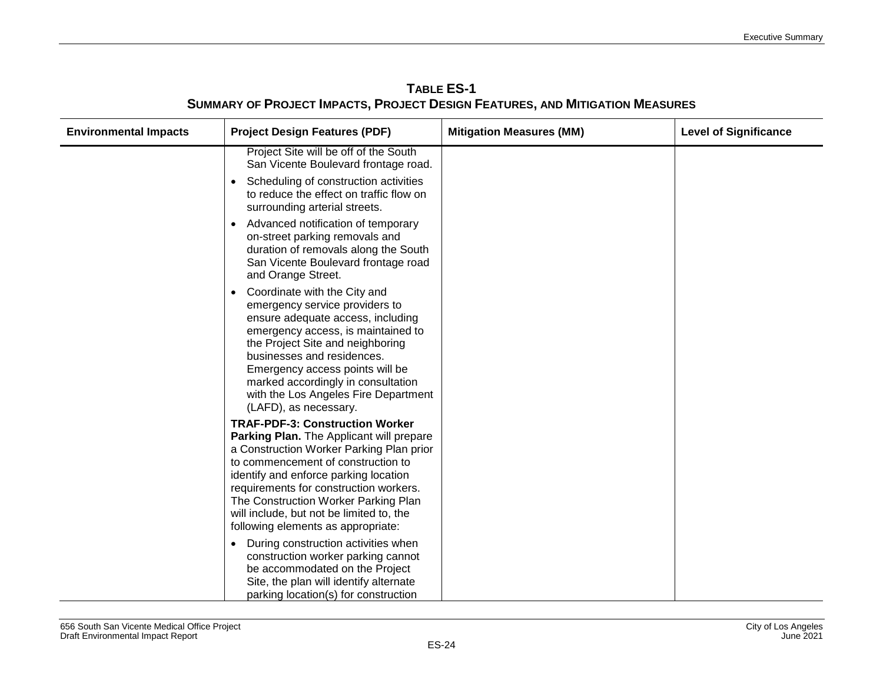| <b>Environmental Impacts</b> | <b>Project Design Features (PDF)</b>                                                                                                                                                                                                                                                                                                                                              | <b>Mitigation Measures (MM)</b> | <b>Level of Significance</b> |
|------------------------------|-----------------------------------------------------------------------------------------------------------------------------------------------------------------------------------------------------------------------------------------------------------------------------------------------------------------------------------------------------------------------------------|---------------------------------|------------------------------|
|                              | Project Site will be off of the South<br>San Vicente Boulevard frontage road.                                                                                                                                                                                                                                                                                                     |                                 |                              |
|                              | Scheduling of construction activities<br>$\bullet$<br>to reduce the effect on traffic flow on<br>surrounding arterial streets.                                                                                                                                                                                                                                                    |                                 |                              |
|                              | Advanced notification of temporary<br>$\bullet$<br>on-street parking removals and<br>duration of removals along the South<br>San Vicente Boulevard frontage road<br>and Orange Street.                                                                                                                                                                                            |                                 |                              |
|                              | Coordinate with the City and<br>$\bullet$<br>emergency service providers to<br>ensure adequate access, including<br>emergency access, is maintained to<br>the Project Site and neighboring<br>businesses and residences.<br>Emergency access points will be<br>marked accordingly in consultation<br>with the Los Angeles Fire Department<br>(LAFD), as necessary.                |                                 |                              |
|                              | <b>TRAF-PDF-3: Construction Worker</b><br>Parking Plan. The Applicant will prepare<br>a Construction Worker Parking Plan prior<br>to commencement of construction to<br>identify and enforce parking location<br>requirements for construction workers.<br>The Construction Worker Parking Plan<br>will include, but not be limited to, the<br>following elements as appropriate: |                                 |                              |
|                              | During construction activities when<br>$\bullet$<br>construction worker parking cannot<br>be accommodated on the Project<br>Site, the plan will identify alternate<br>parking location(s) for construction                                                                                                                                                                        |                                 |                              |

**TABLE ES-1 SUMMARY OF PROJECT IMPACTS, PROJECT DESIGN FEATURES, AND MITIGATION MEASURES**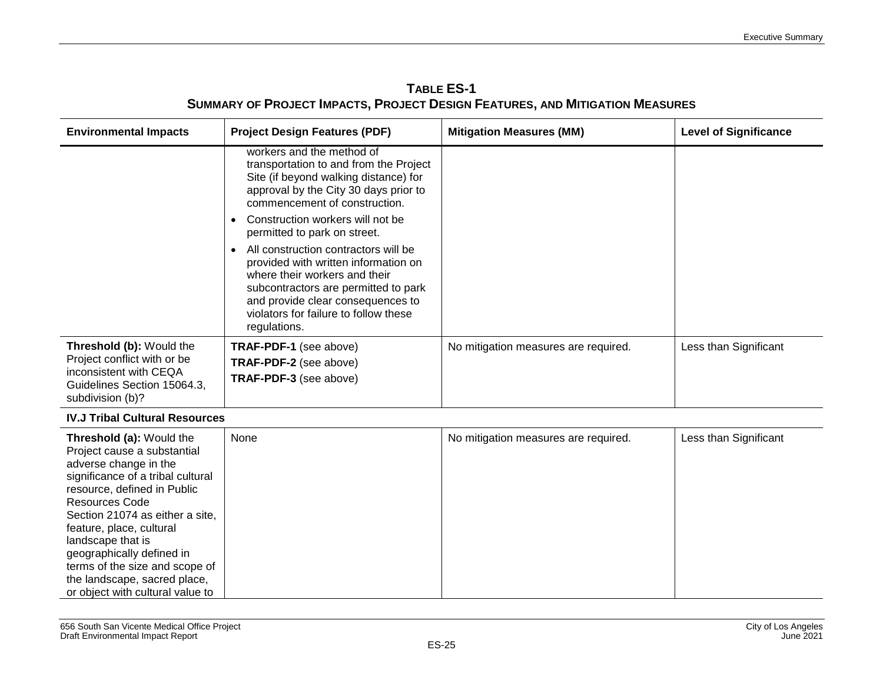| <b>Environmental Impacts</b>                                                                                                                                                                                                                                                                                                     | <b>Project Design Features (PDF)</b>                                                                                                                                                                                                                                                                                                                                                                                                                                                                              | <b>Mitigation Measures (MM)</b>      | <b>Level of Significance</b> |
|----------------------------------------------------------------------------------------------------------------------------------------------------------------------------------------------------------------------------------------------------------------------------------------------------------------------------------|-------------------------------------------------------------------------------------------------------------------------------------------------------------------------------------------------------------------------------------------------------------------------------------------------------------------------------------------------------------------------------------------------------------------------------------------------------------------------------------------------------------------|--------------------------------------|------------------------------|
|                                                                                                                                                                                                                                                                                                                                  | workers and the method of<br>transportation to and from the Project<br>Site (if beyond walking distance) for<br>approval by the City 30 days prior to<br>commencement of construction.<br>Construction workers will not be<br>permitted to park on street.<br>All construction contractors will be<br>provided with written information on<br>where their workers and their<br>subcontractors are permitted to park<br>and provide clear consequences to<br>violators for failure to follow these<br>regulations. |                                      |                              |
| Threshold (b): Would the<br>Project conflict with or be<br>inconsistent with CEQA<br>Guidelines Section 15064.3,<br>subdivision (b)?                                                                                                                                                                                             | TRAF-PDF-1 (see above)<br>TRAF-PDF-2 (see above)<br>TRAF-PDF-3 (see above)                                                                                                                                                                                                                                                                                                                                                                                                                                        | No mitigation measures are required. | Less than Significant        |
| <b>IV.J Tribal Cultural Resources</b>                                                                                                                                                                                                                                                                                            |                                                                                                                                                                                                                                                                                                                                                                                                                                                                                                                   |                                      |                              |
| Threshold (a): Would the<br>Project cause a substantial<br>adverse change in the<br>significance of a tribal cultural<br>resource, defined in Public<br><b>Resources Code</b><br>Section 21074 as either a site.<br>feature, place, cultural<br>landscape that is<br>geographically defined in<br>terms of the size and scope of | None                                                                                                                                                                                                                                                                                                                                                                                                                                                                                                              | No mitigation measures are required. | Less than Significant        |

### **TABLE ES-1 SUMMARY OF PROJECT IMPACTS, PROJECT DESIGN FEATURES, AND MITIGATION MEASURES**

the landscape, sacred place, or object with cultural value to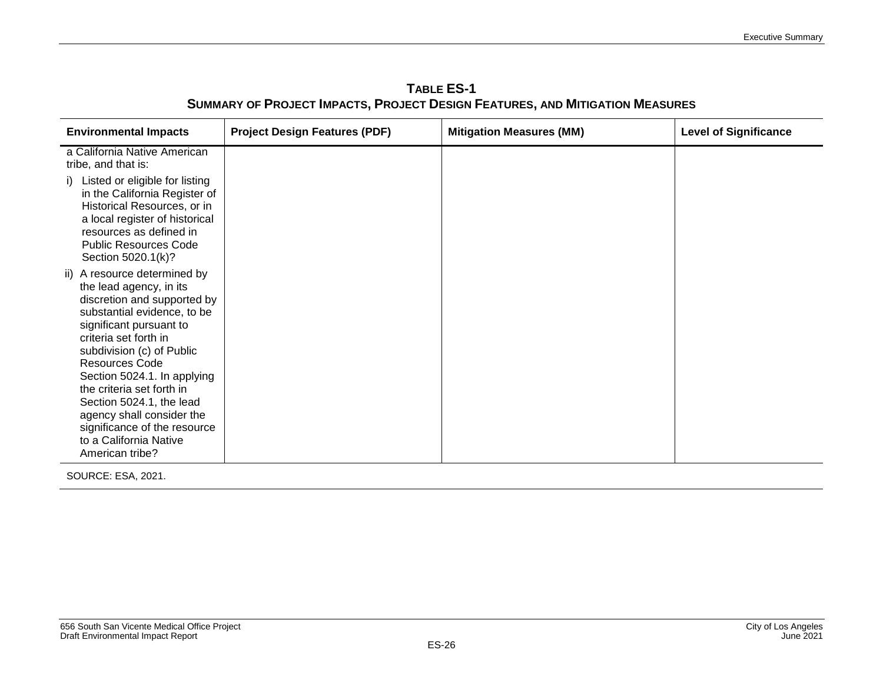**TABLE ES-1 SUMMARY OF PROJECT IMPACTS, PROJECT DESIGN FEATURES, AND MITIGATION MEASURES**

| <b>Environmental Impacts</b>                                                                                                                                                                                                                                                                                                                                                                                               | <b>Project Design Features (PDF)</b> | <b>Mitigation Measures (MM)</b> | <b>Level of Significance</b> |
|----------------------------------------------------------------------------------------------------------------------------------------------------------------------------------------------------------------------------------------------------------------------------------------------------------------------------------------------------------------------------------------------------------------------------|--------------------------------------|---------------------------------|------------------------------|
| a California Native American<br>tribe, and that is:<br>i) Listed or eligible for listing<br>in the California Register of<br>Historical Resources, or in<br>a local register of historical<br>resources as defined in<br><b>Public Resources Code</b><br>Section 5020.1(k)?                                                                                                                                                |                                      |                                 |                              |
| ii) A resource determined by<br>the lead agency, in its<br>discretion and supported by<br>substantial evidence, to be<br>significant pursuant to<br>criteria set forth in<br>subdivision (c) of Public<br>Resources Code<br>Section 5024.1. In applying<br>the criteria set forth in<br>Section 5024.1, the lead<br>agency shall consider the<br>significance of the resource<br>to a California Native<br>American tribe? |                                      |                                 |                              |

SOURCE: ESA, 2021.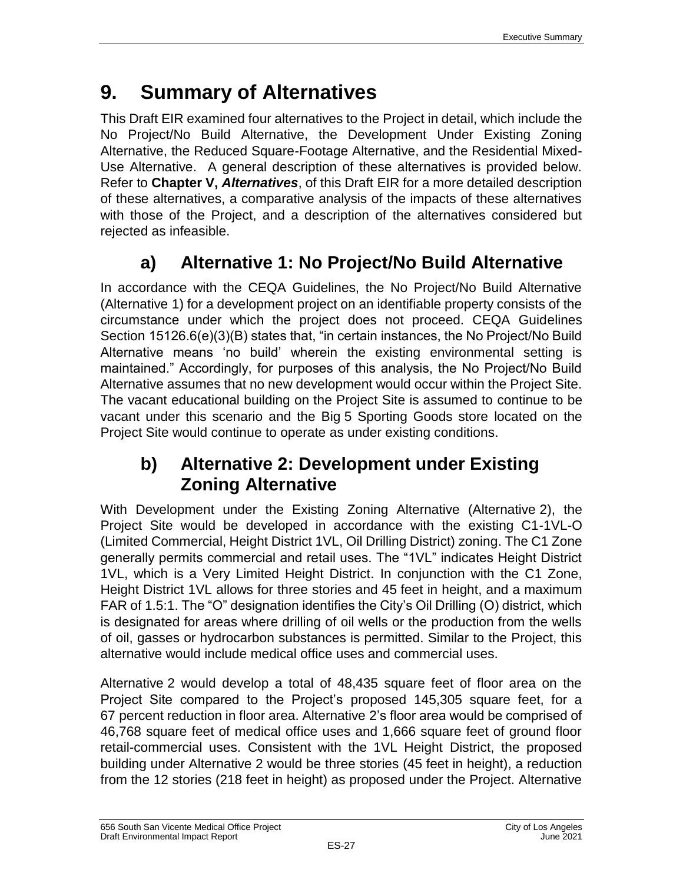# **9. Summary of Alternatives**

This Draft EIR examined four alternatives to the Project in detail, which include the No Project/No Build Alternative, the Development Under Existing Zoning Alternative, the Reduced Square-Footage Alternative, and the Residential Mixed-Use Alternative. A general description of these alternatives is provided below. Refer to **Chapter V,** *Alternatives*, of this Draft EIR for a more detailed description of these alternatives, a comparative analysis of the impacts of these alternatives with those of the Project, and a description of the alternatives considered but rejected as infeasible.

### **a) Alternative 1: No Project/No Build Alternative**

In accordance with the CEQA Guidelines, the No Project/No Build Alternative (Alternative 1) for a development project on an identifiable property consists of the circumstance under which the project does not proceed. CEQA Guidelines Section 15126.6(e)(3)(B) states that, "in certain instances, the No Project/No Build Alternative means 'no build' wherein the existing environmental setting is maintained." Accordingly, for purposes of this analysis, the No Project/No Build Alternative assumes that no new development would occur within the Project Site. The vacant educational building on the Project Site is assumed to continue to be vacant under this scenario and the Big 5 Sporting Goods store located on the Project Site would continue to operate as under existing conditions.

### **b) Alternative 2: Development under Existing Zoning Alternative**

With Development under the Existing Zoning Alternative (Alternative 2), the Project Site would be developed in accordance with the existing C1-1VL-O (Limited Commercial, Height District 1VL, Oil Drilling District) zoning. The C1 Zone generally permits commercial and retail uses. The "1VL" indicates Height District 1VL, which is a Very Limited Height District. In conjunction with the C1 Zone, Height District 1VL allows for three stories and 45 feet in height, and a maximum FAR of 1.5:1. The "O" designation identifies the City's Oil Drilling (O) district, which is designated for areas where drilling of oil wells or the production from the wells of oil, gasses or hydrocarbon substances is permitted. Similar to the Project, this alternative would include medical office uses and commercial uses.

Alternative 2 would develop a total of 48,435 square feet of floor area on the Project Site compared to the Project's proposed 145,305 square feet, for a 67 percent reduction in floor area. Alternative 2's floor area would be comprised of 46,768 square feet of medical office uses and 1,666 square feet of ground floor retail-commercial uses. Consistent with the 1VL Height District, the proposed building under Alternative 2 would be three stories (45 feet in height), a reduction from the 12 stories (218 feet in height) as proposed under the Project. Alternative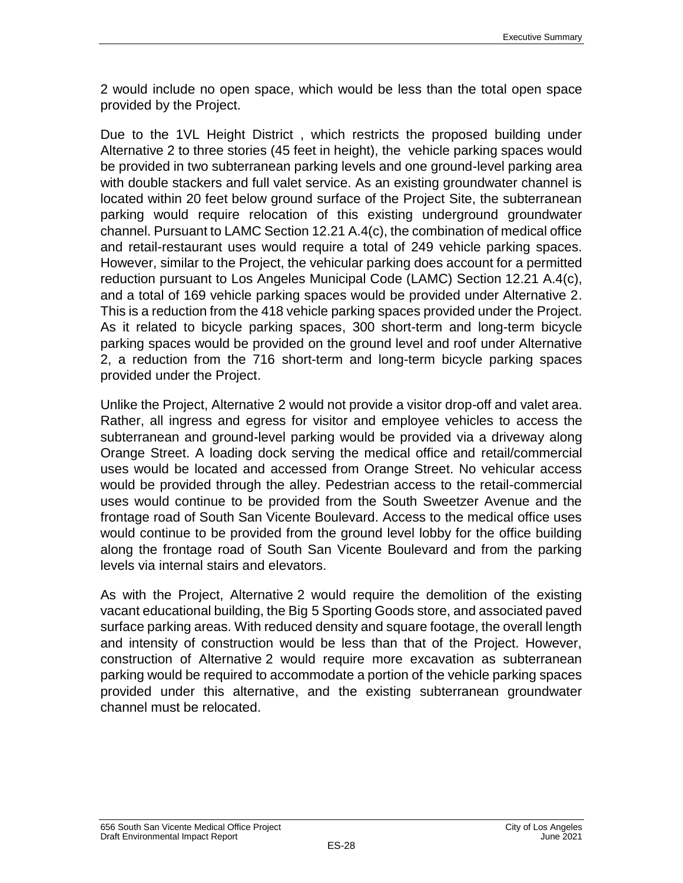2 would include no open space, which would be less than the total open space provided by the Project.

Due to the 1VL Height District , which restricts the proposed building under Alternative 2 to three stories (45 feet in height), the vehicle parking spaces would be provided in two subterranean parking levels and one ground-level parking area with double stackers and full valet service. As an existing groundwater channel is located within 20 feet below ground surface of the Project Site, the subterranean parking would require relocation of this existing underground groundwater channel. Pursuant to LAMC Section 12.21 A.4(c), the combination of medical office and retail-restaurant uses would require a total of 249 vehicle parking spaces. However, similar to the Project, the vehicular parking does account for a permitted reduction pursuant to Los Angeles Municipal Code (LAMC) Section 12.21 A.4(c), and a total of 169 vehicle parking spaces would be provided under Alternative 2. This is a reduction from the 418 vehicle parking spaces provided under the Project. As it related to bicycle parking spaces, 300 short-term and long-term bicycle parking spaces would be provided on the ground level and roof under Alternative 2, a reduction from the 716 short-term and long-term bicycle parking spaces provided under the Project.

Unlike the Project, Alternative 2 would not provide a visitor drop-off and valet area. Rather, all ingress and egress for visitor and employee vehicles to access the subterranean and ground-level parking would be provided via a driveway along Orange Street. A loading dock serving the medical office and retail/commercial uses would be located and accessed from Orange Street. No vehicular access would be provided through the alley. Pedestrian access to the retail-commercial uses would continue to be provided from the South Sweetzer Avenue and the frontage road of South San Vicente Boulevard. Access to the medical office uses would continue to be provided from the ground level lobby for the office building along the frontage road of South San Vicente Boulevard and from the parking levels via internal stairs and elevators.

As with the Project, Alternative 2 would require the demolition of the existing vacant educational building, the Big 5 Sporting Goods store, and associated paved surface parking areas. With reduced density and square footage, the overall length and intensity of construction would be less than that of the Project. However, construction of Alternative 2 would require more excavation as subterranean parking would be required to accommodate a portion of the vehicle parking spaces provided under this alternative, and the existing subterranean groundwater channel must be relocated.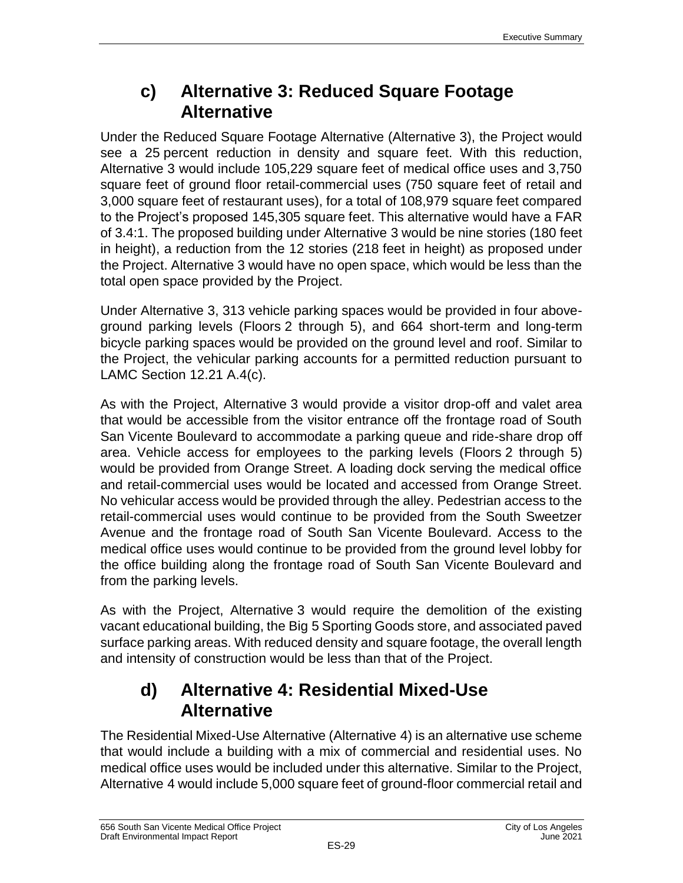### **c) Alternative 3: Reduced Square Footage Alternative**

Under the Reduced Square Footage Alternative (Alternative 3), the Project would see a 25 percent reduction in density and square feet. With this reduction, Alternative 3 would include 105,229 square feet of medical office uses and 3,750 square feet of ground floor retail-commercial uses (750 square feet of retail and 3,000 square feet of restaurant uses), for a total of 108,979 square feet compared to the Project's proposed 145,305 square feet. This alternative would have a FAR of 3.4:1. The proposed building under Alternative 3 would be nine stories (180 feet in height), a reduction from the 12 stories (218 feet in height) as proposed under the Project. Alternative 3 would have no open space, which would be less than the total open space provided by the Project.

Under Alternative 3, 313 vehicle parking spaces would be provided in four aboveground parking levels (Floors 2 through 5), and 664 short-term and long-term bicycle parking spaces would be provided on the ground level and roof. Similar to the Project, the vehicular parking accounts for a permitted reduction pursuant to LAMC Section 12.21 A.4(c).

As with the Project, Alternative 3 would provide a visitor drop-off and valet area that would be accessible from the visitor entrance off the frontage road of South San Vicente Boulevard to accommodate a parking queue and ride-share drop off area. Vehicle access for employees to the parking levels (Floors 2 through 5) would be provided from Orange Street. A loading dock serving the medical office and retail-commercial uses would be located and accessed from Orange Street. No vehicular access would be provided through the alley. Pedestrian access to the retail-commercial uses would continue to be provided from the South Sweetzer Avenue and the frontage road of South San Vicente Boulevard. Access to the medical office uses would continue to be provided from the ground level lobby for the office building along the frontage road of South San Vicente Boulevard and from the parking levels.

As with the Project, Alternative 3 would require the demolition of the existing vacant educational building, the Big 5 Sporting Goods store, and associated paved surface parking areas. With reduced density and square footage, the overall length and intensity of construction would be less than that of the Project.

### **d) Alternative 4: Residential Mixed-Use Alternative**

The Residential Mixed-Use Alternative (Alternative 4) is an alternative use scheme that would include a building with a mix of commercial and residential uses. No medical office uses would be included under this alternative. Similar to the Project, Alternative 4 would include 5,000 square feet of ground-floor commercial retail and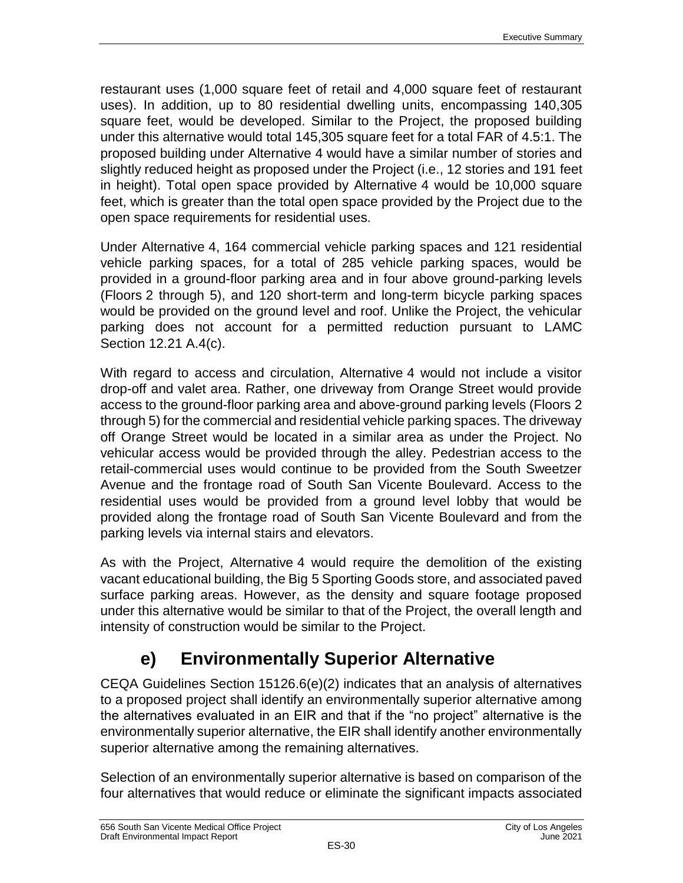restaurant uses (1,000 square feet of retail and 4,000 square feet of restaurant uses). In addition, up to 80 residential dwelling units, encompassing 140,305 square feet, would be developed. Similar to the Project, the proposed building under this alternative would total 145,305 square feet for a total FAR of 4.5:1. The proposed building under Alternative 4 would have a similar number of stories and slightly reduced height as proposed under the Project (i.e., 12 stories and 191 feet in height). Total open space provided by Alternative 4 would be 10,000 square feet, which is greater than the total open space provided by the Project due to the open space requirements for residential uses.

Under Alternative 4, 164 commercial vehicle parking spaces and 121 residential vehicle parking spaces, for a total of 285 vehicle parking spaces, would be provided in a ground-floor parking area and in four above ground-parking levels (Floors 2 through 5), and 120 short-term and long-term bicycle parking spaces would be provided on the ground level and roof. Unlike the Project, the vehicular parking does not account for a permitted reduction pursuant to LAMC Section 12.21 A.4(c).

With regard to access and circulation, Alternative 4 would not include a visitor drop-off and valet area. Rather, one driveway from Orange Street would provide access to the ground-floor parking area and above-ground parking levels (Floors 2 through 5) for the commercial and residential vehicle parking spaces. The driveway off Orange Street would be located in a similar area as under the Project. No vehicular access would be provided through the alley. Pedestrian access to the retail-commercial uses would continue to be provided from the South Sweetzer Avenue and the frontage road of South San Vicente Boulevard. Access to the residential uses would be provided from a ground level lobby that would be provided along the frontage road of South San Vicente Boulevard and from the parking levels via internal stairs and elevators.

As with the Project, Alternative 4 would require the demolition of the existing vacant educational building, the Big 5 Sporting Goods store, and associated paved surface parking areas. However, as the density and square footage proposed under this alternative would be similar to that of the Project, the overall length and intensity of construction would be similar to the Project.

### **e) Environmentally Superior Alternative**

CEQA Guidelines Section 15126.6(e)(2) indicates that an analysis of alternatives to a proposed project shall identify an environmentally superior alternative among the alternatives evaluated in an EIR and that if the "no project" alternative is the environmentally superior alternative, the EIR shall identify another environmentally superior alternative among the remaining alternatives.

Selection of an environmentally superior alternative is based on comparison of the four alternatives that would reduce or eliminate the significant impacts associated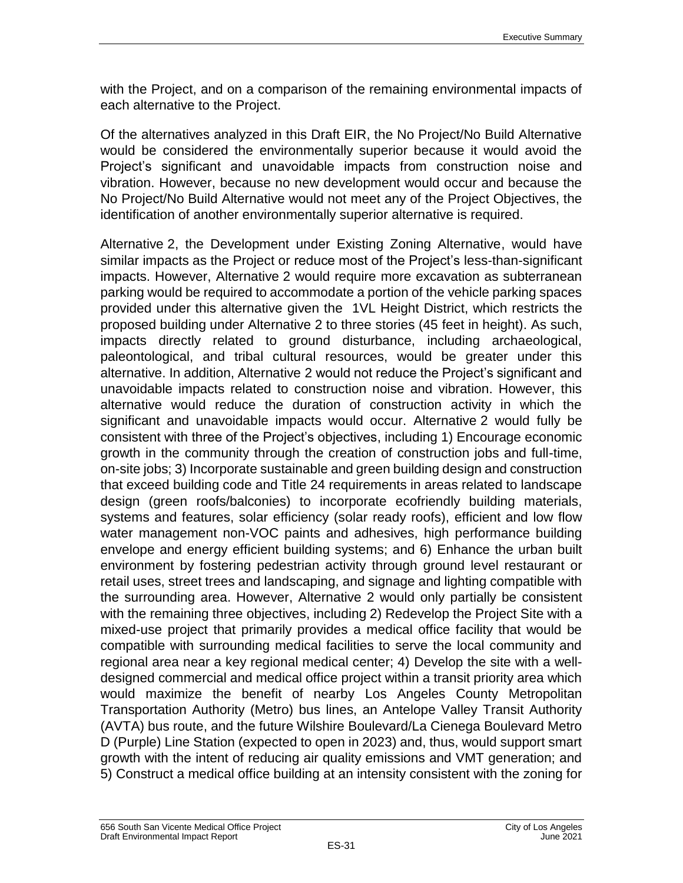with the Project, and on a comparison of the remaining environmental impacts of each alternative to the Project.

Of the alternatives analyzed in this Draft EIR, the No Project/No Build Alternative would be considered the environmentally superior because it would avoid the Project's significant and unavoidable impacts from construction noise and vibration. However, because no new development would occur and because the No Project/No Build Alternative would not meet any of the Project Objectives, the identification of another environmentally superior alternative is required.

Alternative 2, the Development under Existing Zoning Alternative, would have similar impacts as the Project or reduce most of the Project's less-than-significant impacts. However, Alternative 2 would require more excavation as subterranean parking would be required to accommodate a portion of the vehicle parking spaces provided under this alternative given the 1VL Height District, which restricts the proposed building under Alternative 2 to three stories (45 feet in height). As such, impacts directly related to ground disturbance, including archaeological, paleontological, and tribal cultural resources, would be greater under this alternative. In addition, Alternative 2 would not reduce the Project's significant and unavoidable impacts related to construction noise and vibration. However, this alternative would reduce the duration of construction activity in which the significant and unavoidable impacts would occur. Alternative 2 would fully be consistent with three of the Project's objectives, including 1) Encourage economic growth in the community through the creation of construction jobs and full-time, on-site jobs; 3) Incorporate sustainable and green building design and construction that exceed building code and Title 24 requirements in areas related to landscape design (green roofs/balconies) to incorporate ecofriendly building materials, systems and features, solar efficiency (solar ready roofs), efficient and low flow water management non-VOC paints and adhesives, high performance building envelope and energy efficient building systems; and 6) Enhance the urban built environment by fostering pedestrian activity through ground level restaurant or retail uses, street trees and landscaping, and signage and lighting compatible with the surrounding area. However, Alternative 2 would only partially be consistent with the remaining three objectives, including 2) Redevelop the Project Site with a mixed-use project that primarily provides a medical office facility that would be compatible with surrounding medical facilities to serve the local community and regional area near a key regional medical center; 4) Develop the site with a welldesigned commercial and medical office project within a transit priority area which would maximize the benefit of nearby Los Angeles County Metropolitan Transportation Authority (Metro) bus lines, an Antelope Valley Transit Authority (AVTA) bus route, and the future Wilshire Boulevard/La Cienega Boulevard Metro D (Purple) Line Station (expected to open in 2023) and, thus, would support smart growth with the intent of reducing air quality emissions and VMT generation; and 5) Construct a medical office building at an intensity consistent with the zoning for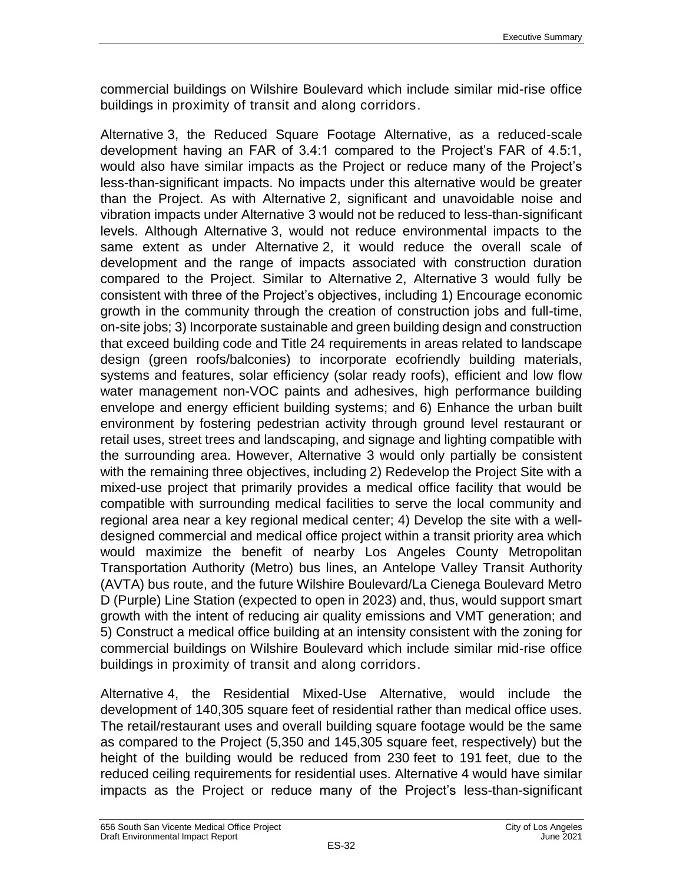commercial buildings on Wilshire Boulevard which include similar mid-rise office buildings in proximity of transit and along corridors.

Alternative 3, the Reduced Square Footage Alternative, as a reduced-scale development having an FAR of 3.4:1 compared to the Project's FAR of 4.5:1, would also have similar impacts as the Project or reduce many of the Project's less-than-significant impacts. No impacts under this alternative would be greater than the Project. As with Alternative 2, significant and unavoidable noise and vibration impacts under Alternative 3 would not be reduced to less-than-significant levels. Although Alternative 3, would not reduce environmental impacts to the same extent as under Alternative 2, it would reduce the overall scale of development and the range of impacts associated with construction duration compared to the Project. Similar to Alternative 2, Alternative 3 would fully be consistent with three of the Project's objectives, including 1) Encourage economic growth in the community through the creation of construction jobs and full-time, on-site jobs; 3) Incorporate sustainable and green building design and construction that exceed building code and Title 24 requirements in areas related to landscape design (green roofs/balconies) to incorporate ecofriendly building materials, systems and features, solar efficiency (solar ready roofs), efficient and low flow water management non-VOC paints and adhesives, high performance building envelope and energy efficient building systems; and 6) Enhance the urban built environment by fostering pedestrian activity through ground level restaurant or retail uses, street trees and landscaping, and signage and lighting compatible with the surrounding area. However, Alternative 3 would only partially be consistent with the remaining three objectives, including 2) Redevelop the Project Site with a mixed-use project that primarily provides a medical office facility that would be compatible with surrounding medical facilities to serve the local community and regional area near a key regional medical center; 4) Develop the site with a welldesigned commercial and medical office project within a transit priority area which would maximize the benefit of nearby Los Angeles County Metropolitan Transportation Authority (Metro) bus lines, an Antelope Valley Transit Authority (AVTA) bus route, and the future Wilshire Boulevard/La Cienega Boulevard Metro D (Purple) Line Station (expected to open in 2023) and, thus, would support smart growth with the intent of reducing air quality emissions and VMT generation; and 5) Construct a medical office building at an intensity consistent with the zoning for commercial buildings on Wilshire Boulevard which include similar mid-rise office buildings in proximity of transit and along corridors.

Alternative 4, the Residential Mixed-Use Alternative, would include the development of 140,305 square feet of residential rather than medical office uses. The retail/restaurant uses and overall building square footage would be the same as compared to the Project (5,350 and 145,305 square feet, respectively) but the height of the building would be reduced from 230 feet to 191 feet, due to the reduced ceiling requirements for residential uses. Alternative 4 would have similar impacts as the Project or reduce many of the Project's less-than-significant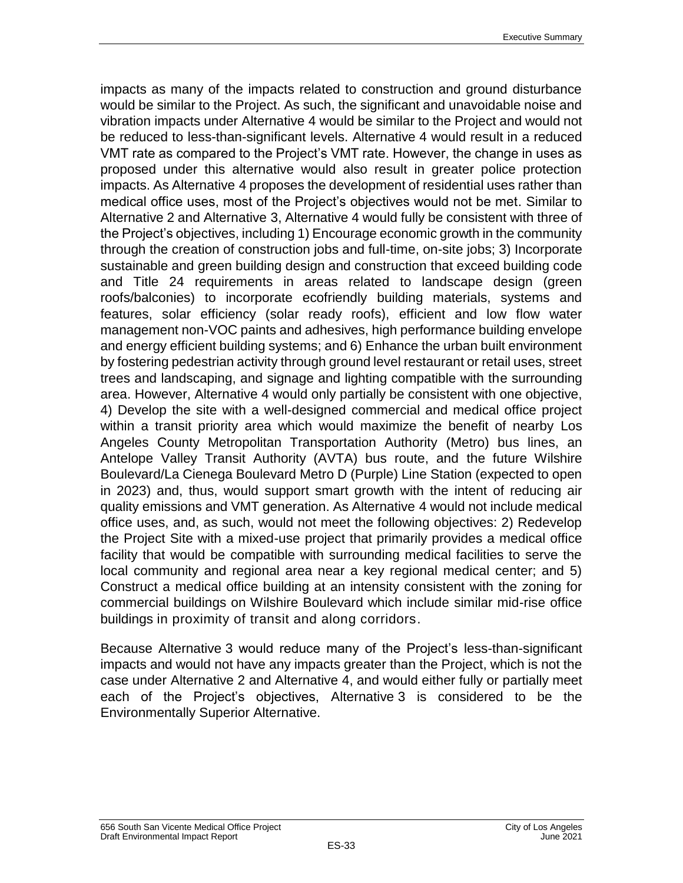impacts as many of the impacts related to construction and ground disturbance would be similar to the Project. As such, the significant and unavoidable noise and vibration impacts under Alternative 4 would be similar to the Project and would not be reduced to less-than-significant levels. Alternative 4 would result in a reduced VMT rate as compared to the Project's VMT rate. However, the change in uses as proposed under this alternative would also result in greater police protection impacts. As Alternative 4 proposes the development of residential uses rather than medical office uses, most of the Project's objectives would not be met. Similar to Alternative 2 and Alternative 3, Alternative 4 would fully be consistent with three of the Project's objectives, including 1) Encourage economic growth in the community through the creation of construction jobs and full-time, on-site jobs; 3) Incorporate sustainable and green building design and construction that exceed building code and Title 24 requirements in areas related to landscape design (green roofs/balconies) to incorporate ecofriendly building materials, systems and features, solar efficiency (solar ready roofs), efficient and low flow water management non-VOC paints and adhesives, high performance building envelope and energy efficient building systems; and 6) Enhance the urban built environment by fostering pedestrian activity through ground level restaurant or retail uses, street trees and landscaping, and signage and lighting compatible with the surrounding area. However, Alternative 4 would only partially be consistent with one objective, 4) Develop the site with a well-designed commercial and medical office project within a transit priority area which would maximize the benefit of nearby Los Angeles County Metropolitan Transportation Authority (Metro) bus lines, an Antelope Valley Transit Authority (AVTA) bus route, and the future Wilshire Boulevard/La Cienega Boulevard Metro D (Purple) Line Station (expected to open in 2023) and, thus, would support smart growth with the intent of reducing air quality emissions and VMT generation. As Alternative 4 would not include medical office uses, and, as such, would not meet the following objectives: 2) Redevelop the Project Site with a mixed-use project that primarily provides a medical office facility that would be compatible with surrounding medical facilities to serve the local community and regional area near a key regional medical center; and 5) Construct a medical office building at an intensity consistent with the zoning for commercial buildings on Wilshire Boulevard which include similar mid-rise office buildings in proximity of transit and along corridors.

Because Alternative 3 would reduce many of the Project's less-than-significant impacts and would not have any impacts greater than the Project, which is not the case under Alternative 2 and Alternative 4, and would either fully or partially meet each of the Project's objectives, Alternative 3 is considered to be the Environmentally Superior Alternative.